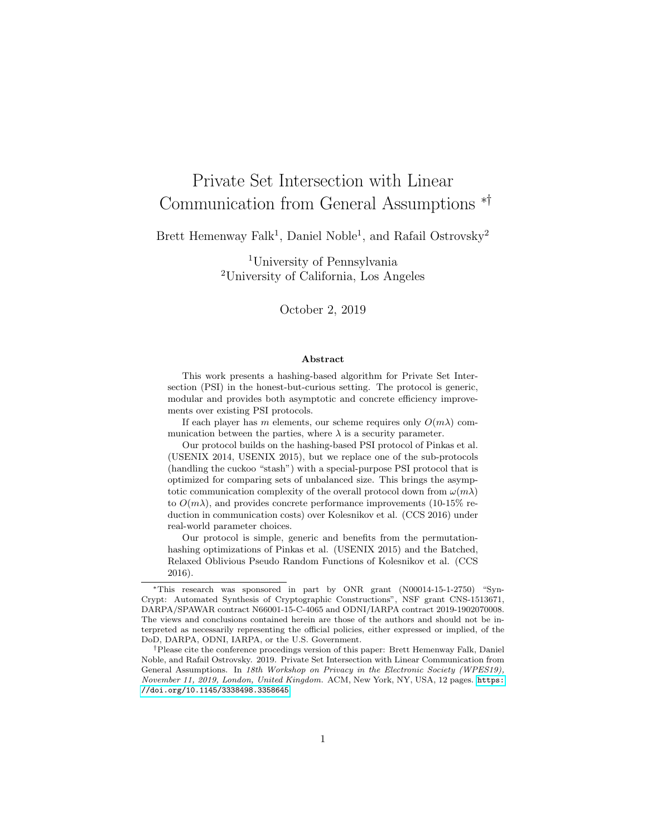# Private Set Intersection with Linear Communication from General Assumptions ∗†

### Brett Hemenway Falk<sup>1</sup>, Daniel Noble<sup>1</sup>, and Rafail Ostrovsky<sup>2</sup>

<sup>1</sup>University of Pennsylvania <sup>2</sup>University of California, Los Angeles

October 2, 2019

#### Abstract

This work presents a hashing-based algorithm for Private Set Intersection (PSI) in the honest-but-curious setting. The protocol is generic, modular and provides both asymptotic and concrete efficiency improvements over existing PSI protocols.

If each player has m elements, our scheme requires only  $O(m\lambda)$  communication between the parties, where  $\lambda$  is a security parameter.

Our protocol builds on the hashing-based PSI protocol of Pinkas et al. (USENIX 2014, USENIX 2015), but we replace one of the sub-protocols (handling the cuckoo "stash") with a special-purpose PSI protocol that is optimized for comparing sets of unbalanced size. This brings the asymptotic communication complexity of the overall protocol down from  $\omega(m\lambda)$ to  $O(m\lambda)$ , and provides concrete performance improvements (10-15% reduction in communication costs) over Kolesnikov et al. (CCS 2016) under real-world parameter choices.

Our protocol is simple, generic and benefits from the permutationhashing optimizations of Pinkas et al. (USENIX 2015) and the Batched, Relaxed Oblivious Pseudo Random Functions of Kolesnikov et al. (CCS 2016).

<sup>∗</sup>This research was sponsored in part by ONR grant (N00014-15-1-2750) "Syn-Crypt: Automated Synthesis of Cryptographic Constructions", NSF grant CNS-1513671, DARPA/SPAWAR contract N66001-15-C-4065 and ODNI/IARPA contract 2019-1902070008. The views and conclusions contained herein are those of the authors and should not be interpreted as necessarily representing the official policies, either expressed or implied, of the DoD, DARPA, ODNI, IARPA, or the U.S. Government.

<sup>†</sup>Please cite the conference procedings version of this paper: Brett Hemenway Falk, Daniel Noble, and Rafail Ostrovsky. 2019. Private Set Intersection with Linear Communication from General Assumptions. In 18th Workshop on Privacy in the Electronic Society (WPES19), November 11, 2019, London, United Kingdom. ACM, New York, NY, USA, 12 pages. [https:](https://doi.org/10.1145/3338498.3358645) [//doi.org/10.1145/3338498.3358645](https://doi.org/10.1145/3338498.3358645)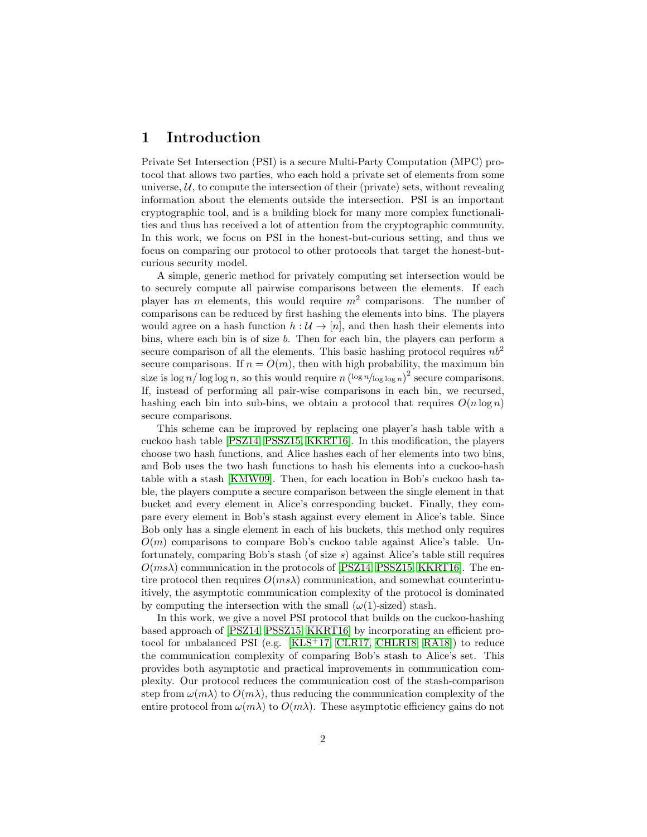## 1 Introduction

Private Set Intersection (PSI) is a secure Multi-Party Computation (MPC) protocol that allows two parties, who each hold a private set of elements from some universe,  $U$ , to compute the intersection of their (private) sets, without revealing information about the elements outside the intersection. PSI is an important cryptographic tool, and is a building block for many more complex functionalities and thus has received a lot of attention from the cryptographic community. In this work, we focus on PSI in the honest-but-curious setting, and thus we focus on comparing our protocol to other protocols that target the honest-butcurious security model.

A simple, generic method for privately computing set intersection would be to securely compute all pairwise comparisons between the elements. If each player has  $m$  elements, this would require  $m^2$  comparisons. The number of comparisons can be reduced by first hashing the elements into bins. The players would agree on a hash function  $h : U \to [n]$ , and then hash their elements into bins, where each bin is of size b. Then for each bin, the players can perform a secure comparison of all the elements. This basic hashing protocol requires  $nb^2$ secure comparisons. If  $n = O(m)$ , then with high probability, the maximum bin size is  $\log n / \log \log n$ , so this would require  $n (\log n / \log \log n)^2$  secure comparisons. If, instead of performing all pair-wise comparisons in each bin, we recursed, hashing each bin into sub-bins, we obtain a protocol that requires  $O(n \log n)$ secure comparisons.

This scheme can be improved by replacing one player's hash table with a cuckoo hash table [\[PSZ14,](#page-28-0) [PSSZ15,](#page-28-1) [KKRT16\]](#page-27-0). In this modification, the players choose two hash functions, and Alice hashes each of her elements into two bins, and Bob uses the two hash functions to hash his elements into a cuckoo-hash table with a stash [\[KMW09\]](#page-27-1). Then, for each location in Bob's cuckoo hash table, the players compute a secure comparison between the single element in that bucket and every element in Alice's corresponding bucket. Finally, they compare every element in Bob's stash against every element in Alice's table. Since Bob only has a single element in each of his buckets, this method only requires  $O(m)$  comparisons to compare Bob's cuckoo table against Alice's table. Unfortunately, comparing Bob's stash (of size s) against Alice's table still requires  $O(ms\lambda)$  communication in the protocols of [\[PSZ14,](#page-28-0) [PSSZ15,](#page-28-1) [KKRT16\]](#page-27-0). The entire protocol then requires  $O(ms\lambda)$  communication, and somewhat counterintuitively, the asymptotic communication complexity of the protocol is dominated by computing the intersection with the small  $(\omega(1)$ -sized) stash.

In this work, we give a novel PSI protocol that builds on the cuckoo-hashing based approach of [\[PSZ14,](#page-28-0) [PSSZ15,](#page-28-1) [KKRT16\]](#page-27-0) by incorporating an efficient protocol for unbalanced PSI (e.g. [\[KLS](#page-27-2)<sup>+</sup>17, [CLR17,](#page-24-0) [CHLR18,](#page-24-1) [RA18\]](#page-28-2)) to reduce the communication complexity of comparing Bob's stash to Alice's set. This provides both asymptotic and practical improvements in communication complexity. Our protocol reduces the communication cost of the stash-comparison step from  $\omega(m\lambda)$  to  $O(m\lambda)$ , thus reducing the communication complexity of the entire protocol from  $\omega(m\lambda)$  to  $O(m\lambda)$ . These asymptotic efficiency gains do not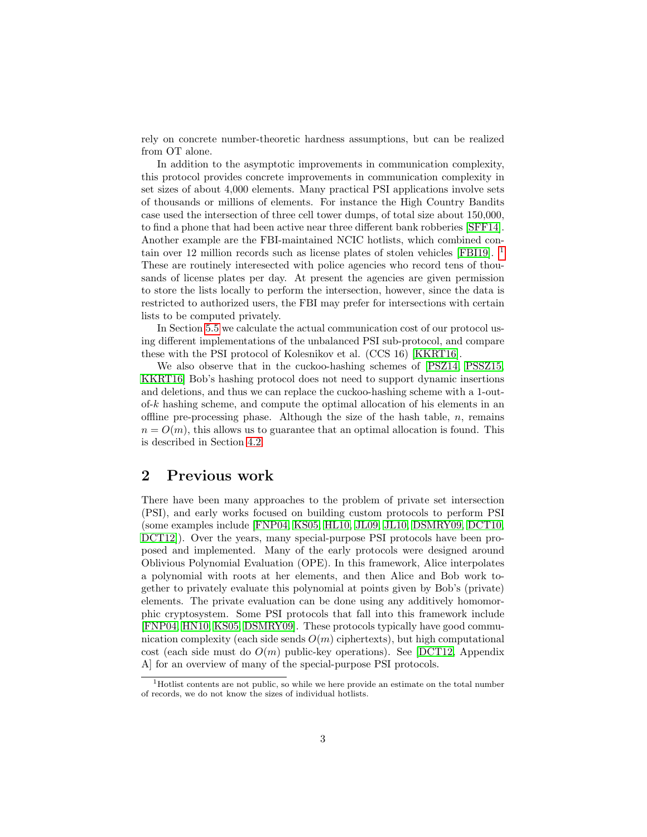rely on concrete number-theoretic hardness assumptions, but can be realized from OT alone.

In addition to the asymptotic improvements in communication complexity, this protocol provides concrete improvements in communication complexity in set sizes of about 4,000 elements. Many practical PSI applications involve sets of thousands or millions of elements. For instance the High Country Bandits case used the intersection of three cell tower dumps, of total size about 150,000, to find a phone that had been active near three different bank robberies [\[SFF14\]](#page-28-3). Another example are the FBI-maintained NCIC hotlists, which combined contain over 12 million records such as license plates of stolen vehicles [\[FBI19\]](#page-25-0). [1](#page-2-0) These are routinely interesected with police agencies who record tens of thousands of license plates per day. At present the agencies are given permission to store the lists locally to perform the intersection, however, since the data is restricted to authorized users, the FBI may prefer for intersections with certain lists to be computed privately.

In Section [5.5](#page-20-0) we calculate the actual communication cost of our protocol using different implementations of the unbalanced PSI sub-protocol, and compare these with the PSI protocol of Kolesnikov et al. (CCS 16) [\[KKRT16\]](#page-27-0).

We also observe that in the cuckoo-hashing schemes of [\[PSZ14,](#page-28-0) [PSSZ15,](#page-28-1) [KKRT16\]](#page-27-0) Bob's hashing protocol does not need to support dynamic insertions and deletions, and thus we can replace the cuckoo-hashing scheme with a 1-outof-k hashing scheme, and compute the optimal allocation of his elements in an offline pre-processing phase. Although the size of the hash table,  $n$ , remains  $n = O(m)$ , this allows us to guarantee that an optimal allocation is found. This is described in Section [4.2.](#page-13-0)

## 2 Previous work

There have been many approaches to the problem of private set intersection (PSI), and early works focused on building custom protocols to perform PSI (some examples include [\[FNP04,](#page-25-1) [KS05,](#page-27-3) [HL10,](#page-26-0) [JL09,](#page-26-1) [JL10,](#page-26-2) [DSMRY09,](#page-25-2) [DCT10,](#page-25-3) [DCT12\]](#page-25-4)). Over the years, many special-purpose PSI protocols have been proposed and implemented. Many of the early protocols were designed around Oblivious Polynomial Evaluation (OPE). In this framework, Alice interpolates a polynomial with roots at her elements, and then Alice and Bob work together to privately evaluate this polynomial at points given by Bob's (private) elements. The private evaluation can be done using any additively homomorphic cryptosystem. Some PSI protocols that fall into this framework include [\[FNP04,](#page-25-1) [HN10,](#page-26-3) [KS05,](#page-27-3) [DSMRY09\]](#page-25-2). These protocols typically have good communication complexity (each side sends  $O(m)$  ciphertexts), but high computational cost (each side must do  $O(m)$  public-key operations). See [\[DCT12,](#page-25-4) Appendix A] for an overview of many of the special-purpose PSI protocols.

<span id="page-2-0"></span><sup>&</sup>lt;sup>1</sup>Hotlist contents are not public, so while we here provide an estimate on the total number of records, we do not know the sizes of individual hotlists.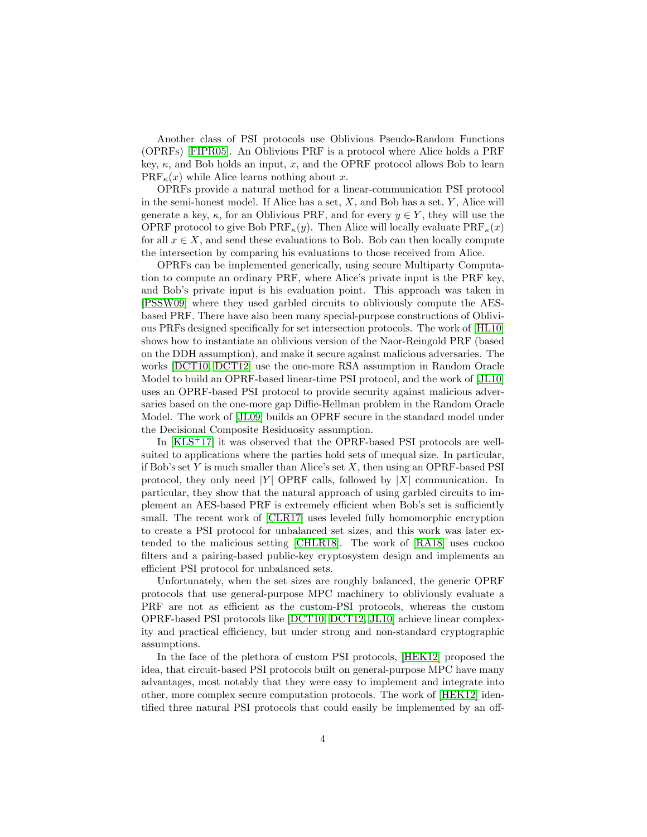Another class of PSI protocols use Oblivious Pseudo-Random Functions (OPRFs) [\[FIPR05\]](#page-25-5). An Oblivious PRF is a protocol where Alice holds a PRF key,  $\kappa$ , and Bob holds an input, x, and the OPRF protocol allows Bob to learn  $\text{PRF}_{\kappa}(x)$  while Alice learns nothing about x.

OPRFs provide a natural method for a linear-communication PSI protocol in the semi-honest model. If Alice has a set,  $X$ , and Bob has a set,  $Y$ , Alice will generate a key,  $\kappa$ , for an Oblivious PRF, and for every  $y \in Y$ , they will use the OPRF protocol to give Bob  $\text{PRF}_{\kappa}(y)$ . Then Alice will locally evaluate  $\text{PRF}_{\kappa}(x)$ for all  $x \in X$ , and send these evaluations to Bob. Bob can then locally compute the intersection by comparing his evaluations to those received from Alice.

OPRFs can be implemented generically, using secure Multiparty Computation to compute an ordinary PRF, where Alice's private input is the PRF key, and Bob's private input is his evaluation point. This approach was taken in [\[PSSW09\]](#page-28-4) where they used garbled circuits to obliviously compute the AESbased PRF. There have also been many special-purpose constructions of Oblivious PRFs designed specifically for set intersection protocols. The work of [\[HL10\]](#page-26-0) shows how to instantiate an oblivious version of the Naor-Reingold PRF (based on the DDH assumption), and make it secure against malicious adversaries. The works [\[DCT10,](#page-25-3) [DCT12\]](#page-25-4) use the one-more RSA assumption in Random Oracle Model to build an OPRF-based linear-time PSI protocol, and the work of [\[JL10\]](#page-26-2) uses an OPRF-based PSI protocol to provide security against malicious adversaries based on the one-more gap Diffie-Hellman problem in the Random Oracle Model. The work of [\[JL09\]](#page-26-1) builds an OPRF secure in the standard model under the Decisional Composite Residuosity assumption.

In [\[KLS](#page-27-2)<sup>+</sup>17] it was observed that the OPRF-based PSI protocols are wellsuited to applications where the parties hold sets of unequal size. In particular, if Bob's set Y is much smaller than Alice's set  $X$ , then using an OPRF-based PSI protocol, they only need |Y| OPRF calls, followed by |X| communication. In particular, they show that the natural approach of using garbled circuits to implement an AES-based PRF is extremely efficient when Bob's set is sufficiently small. The recent work of [\[CLR17\]](#page-24-0) uses leveled fully homomorphic encryption to create a PSI protocol for unbalanced set sizes, and this work was later extended to the malicious setting [\[CHLR18\]](#page-24-1). The work of [\[RA18\]](#page-28-2) uses cuckoo filters and a pairing-based public-key cryptosystem design and implements an efficient PSI protocol for unbalanced sets.

Unfortunately, when the set sizes are roughly balanced, the generic OPRF protocols that use general-purpose MPC machinery to obliviously evaluate a PRF are not as efficient as the custom-PSI protocols, whereas the custom OPRF-based PSI protocols like [\[DCT10,](#page-25-3) [DCT12,](#page-25-4) [JL10\]](#page-26-2) achieve linear complexity and practical efficiency, but under strong and non-standard cryptographic assumptions.

In the face of the plethora of custom PSI protocols, [\[HEK12\]](#page-26-4) proposed the idea, that circuit-based PSI protocols built on general-purpose MPC have many advantages, most notably that they were easy to implement and integrate into other, more complex secure computation protocols. The work of [\[HEK12\]](#page-26-4) identified three natural PSI protocols that could easily be implemented by an off-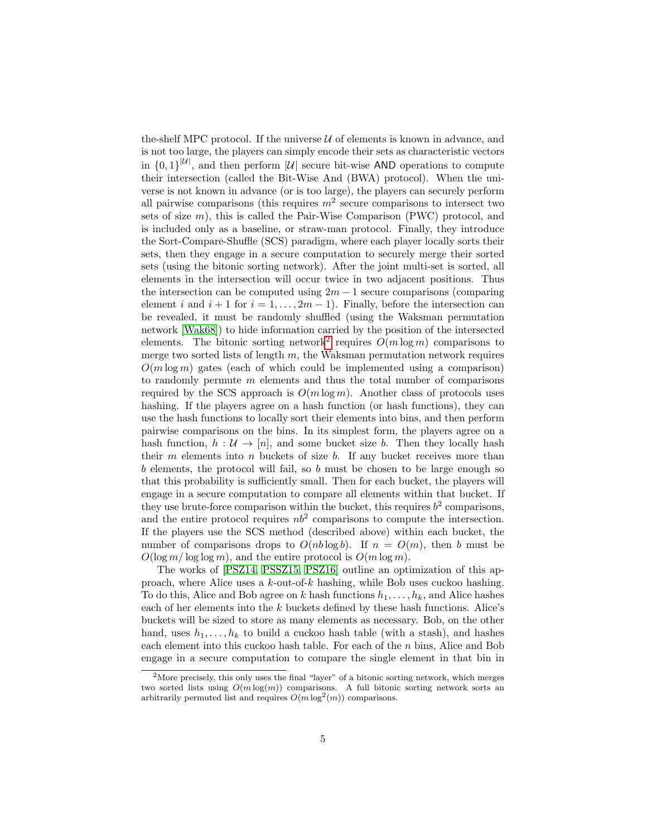the-shelf MPC protocol. If the universe  $U$  of elements is known in advance, and is not too large, the players can simply encode their sets as characteristic vectors in  ${0,1\}^{\vert U \vert}$ , and then perform  $\vert U \vert$  secure bit-wise AND operations to compute their intersection (called the Bit-Wise And (BWA) protocol). When the universe is not known in advance (or is too large), the players can securely perform all pairwise comparisons (this requires  $m^2$  secure comparisons to intersect two sets of size  $m$ ), this is called the Pair-Wise Comparison (PWC) protocol, and is included only as a baseline, or straw-man protocol. Finally, they introduce the Sort-Compare-Shuffle (SCS) paradigm, where each player locally sorts their sets, then they engage in a secure computation to securely merge their sorted sets (using the bitonic sorting network). After the joint multi-set is sorted, all elements in the intersection will occur twice in two adjacent positions. Thus the intersection can be computed using  $2m - 1$  secure comparisons (comparing element i and  $i + 1$  for  $i = 1, \ldots, 2m - 1$ . Finally, before the intersection can be revealed, it must be randomly shuffled (using the Waksman permutation network [\[Wak68\]](#page-29-0)) to hide information carried by the position of the intersected elements. The bitonic sorting network<sup>[2](#page-4-0)</sup> requires  $O(m \log m)$  comparisons to merge two sorted lists of length  $m$ , the Waksman permutation network requires  $O(m \log m)$  gates (each of which could be implemented using a comparison) to randomly permute  $m$  elements and thus the total number of comparisons required by the SCS approach is  $O(m \log m)$ . Another class of protocols uses hashing. If the players agree on a hash function (or hash functions), they can use the hash functions to locally sort their elements into bins, and then perform pairwise comparisons on the bins. In its simplest form, the players agree on a hash function,  $h : U \to [n]$ , and some bucket size b. Then they locally hash their  $m$  elements into  $n$  buckets of size  $b$ . If any bucket receives more than  $b$  elements, the protocol will fail, so  $b$  must be chosen to be large enough so that this probability is sufficiently small. Then for each bucket, the players will engage in a secure computation to compare all elements within that bucket. If they use brute-force comparison within the bucket, this requires  $b<sup>2</sup>$  comparisons, and the entire protocol requires  $nb^2$  comparisons to compute the intersection. If the players use the SCS method (described above) within each bucket, the number of comparisons drops to  $O(nb \log b)$ . If  $n = O(m)$ , then b must be  $O(\log m / \log \log m)$ , and the entire protocol is  $O(m \log m)$ .

The works of [\[PSZ14,](#page-28-0) [PSSZ15,](#page-28-1) [PSZ16\]](#page-28-5) outline an optimization of this approach, where Alice uses a  $k$ -out-of- $k$  hashing, while Bob uses cuckoo hashing. To do this, Alice and Bob agree on k hash functions  $h_1, \ldots, h_k$ , and Alice hashes each of her elements into the k buckets defined by these hash functions. Alice's buckets will be sized to store as many elements as necessary. Bob, on the other hand, uses  $h_1, \ldots, h_k$  to build a cuckoo hash table (with a stash), and hashes each element into this cuckoo hash table. For each of the n bins, Alice and Bob engage in a secure computation to compare the single element in that bin in

<span id="page-4-0"></span><sup>&</sup>lt;sup>2</sup>More precisely, this only uses the final "layer" of a bitonic sorting network, which merges two sorted lists using  $O(m \log(m))$  comparisons. A full bitonic sorting network sorts an arbitrarily permuted list and requires  $O(m \log^2(m))$  comparisons.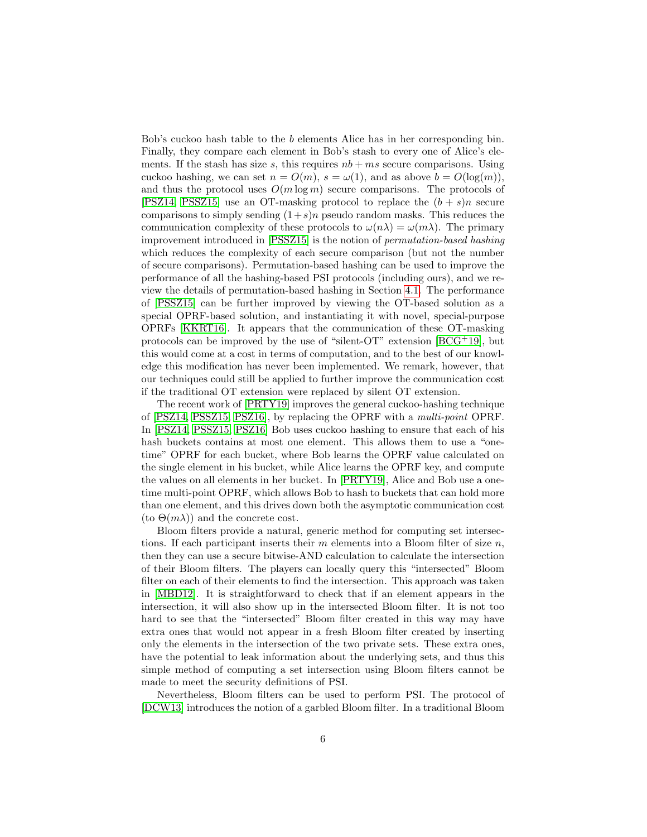Bob's cuckoo hash table to the b elements Alice has in her corresponding bin. Finally, they compare each element in Bob's stash to every one of Alice's elements. If the stash has size s, this requires  $nb + ms$  secure comparisons. Using cuckoo hashing, we can set  $n = O(m)$ ,  $s = \omega(1)$ , and as above  $b = O(\log(m))$ , and thus the protocol uses  $O(m \log m)$  secure comparisons. The protocols of [\[PSZ14,](#page-28-0) [PSSZ15\]](#page-28-1) use an OT-masking protocol to replace the  $(b + s)n$  secure comparisons to simply sending  $(1+s)n$  pseudo random masks. This reduces the communication complexity of these protocols to  $\omega(n\lambda) = \omega(m\lambda)$ . The primary improvement introduced in [\[PSSZ15\]](#page-28-1) is the notion of permutation-based hashing which reduces the complexity of each secure comparison (but not the number of secure comparisons). Permutation-based hashing can be used to improve the performance of all the hashing-based PSI protocols (including ours), and we review the details of permutation-based hashing in Section [4.1.](#page-12-0) The performance of [\[PSSZ15\]](#page-28-1) can be further improved by viewing the OT-based solution as a special OPRF-based solution, and instantiating it with novel, special-purpose OPRFs [\[KKRT16\]](#page-27-0). It appears that the communication of these OT-masking protocols can be improved by the use of "silent-OT" extension  $[BCG^+19]$  $[BCG^+19]$ , but this would come at a cost in terms of computation, and to the best of our knowledge this modification has never been implemented. We remark, however, that our techniques could still be applied to further improve the communication cost if the traditional OT extension were replaced by silent OT extension.

The recent work of [\[PRTY19\]](#page-28-6) improves the general cuckoo-hashing technique of [\[PSZ14,](#page-28-0) [PSSZ15,](#page-28-1) [PSZ16\]](#page-28-5), by replacing the OPRF with a multi-point OPRF. In [\[PSZ14,](#page-28-0) [PSSZ15,](#page-28-1) [PSZ16\]](#page-28-5) Bob uses cuckoo hashing to ensure that each of his hash buckets contains at most one element. This allows them to use a "onetime" OPRF for each bucket, where Bob learns the OPRF value calculated on the single element in his bucket, while Alice learns the OPRF key, and compute the values on all elements in her bucket. In [\[PRTY19\]](#page-28-6), Alice and Bob use a onetime multi-point OPRF, which allows Bob to hash to buckets that can hold more than one element, and this drives down both the asymptotic communication cost (to  $\Theta(m\lambda)$ ) and the concrete cost.

Bloom filters provide a natural, generic method for computing set intersections. If each participant inserts their m elements into a Bloom filter of size  $n$ , then they can use a secure bitwise-AND calculation to calculate the intersection of their Bloom filters. The players can locally query this "intersected" Bloom filter on each of their elements to find the intersection. This approach was taken in [\[MBD12\]](#page-27-4). It is straightforward to check that if an element appears in the intersection, it will also show up in the intersected Bloom filter. It is not too hard to see that the "intersected" Bloom filter created in this way may have extra ones that would not appear in a fresh Bloom filter created by inserting only the elements in the intersection of the two private sets. These extra ones, have the potential to leak information about the underlying sets, and thus this simple method of computing a set intersection using Bloom filters cannot be made to meet the security definitions of PSI.

Nevertheless, Bloom filters can be used to perform PSI. The protocol of [\[DCW13\]](#page-25-6) introduces the notion of a garbled Bloom filter. In a traditional Bloom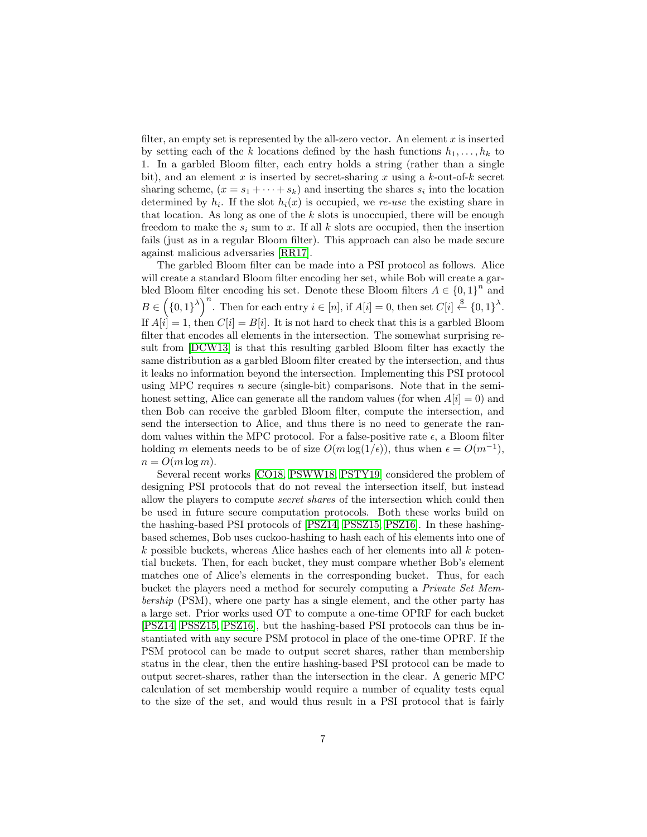filter, an empty set is represented by the all-zero vector. An element  $x$  is inserted by setting each of the k locations defined by the hash functions  $h_1, \ldots, h_k$  to 1. In a garbled Bloom filter, each entry holds a string (rather than a single bit), and an element x is inserted by secret-sharing x using a  $k$ -out-of- $k$  secret sharing scheme,  $(x = s_1 + \cdots + s_k)$  and inserting the shares  $s_i$  into the location determined by  $h_i$ . If the slot  $h_i(x)$  is occupied, we re-use the existing share in that location. As long as one of the  $k$  slots is unoccupied, there will be enough freedom to make the  $s_i$  sum to x. If all k slots are occupied, then the insertion fails (just as in a regular Bloom filter). This approach can also be made secure against malicious adversaries [\[RR17\]](#page-28-7).

The garbled Bloom filter can be made into a PSI protocol as follows. Alice will create a standard Bloom filter encoding her set, while Bob will create a garbled Bloom filter encoding his set. Denote these Bloom filters  $A \in \{0,1\}^n$  and  $B \in \left(\{0,1\}^{\lambda}\right)^n$ . Then for each entry  $i \in [n]$ , if  $A[i] = 0$ , then set  $C[i] \stackrel{\$}{\leftarrow} \{0,1\}^{\lambda}$ . If  $A[i] = 1$ , then  $C[i] = B[i]$ . It is not hard to check that this is a garbled Bloom filter that encodes all elements in the intersection. The somewhat surprising result from [\[DCW13\]](#page-25-6) is that this resulting garbled Bloom filter has exactly the same distribution as a garbled Bloom filter created by the intersection, and thus it leaks no information beyond the intersection. Implementing this PSI protocol using MPC requires  $n$  secure (single-bit) comparisons. Note that in the semihonest setting, Alice can generate all the random values (for when  $A[i] = 0$ ) and then Bob can receive the garbled Bloom filter, compute the intersection, and send the intersection to Alice, and thus there is no need to generate the random values within the MPC protocol. For a false-positive rate  $\epsilon$ , a Bloom filter holding m elements needs to be of size  $O(m \log(1/\epsilon))$ , thus when  $\epsilon = O(m^{-1})$ ,  $n = O(m \log m)$ .

Several recent works [\[CO18,](#page-24-3) [PSWW18,](#page-28-8) [PSTY19\]](#page-28-9) considered the problem of designing PSI protocols that do not reveal the intersection itself, but instead allow the players to compute secret shares of the intersection which could then be used in future secure computation protocols. Both these works build on the hashing-based PSI protocols of [\[PSZ14,](#page-28-0) [PSSZ15,](#page-28-1) [PSZ16\]](#page-28-5). In these hashingbased schemes, Bob uses cuckoo-hashing to hash each of his elements into one of  $k$  possible buckets, whereas Alice hashes each of her elements into all  $k$  potential buckets. Then, for each bucket, they must compare whether Bob's element matches one of Alice's elements in the corresponding bucket. Thus, for each bucket the players need a method for securely computing a Private Set Membership (PSM), where one party has a single element, and the other party has a large set. Prior works used OT to compute a one-time OPRF for each bucket [\[PSZ14,](#page-28-0) [PSSZ15,](#page-28-1) [PSZ16\]](#page-28-5), but the hashing-based PSI protocols can thus be instantiated with any secure PSM protocol in place of the one-time OPRF. If the PSM protocol can be made to output secret shares, rather than membership status in the clear, then the entire hashing-based PSI protocol can be made to output secret-shares, rather than the intersection in the clear. A generic MPC calculation of set membership would require a number of equality tests equal to the size of the set, and would thus result in a PSI protocol that is fairly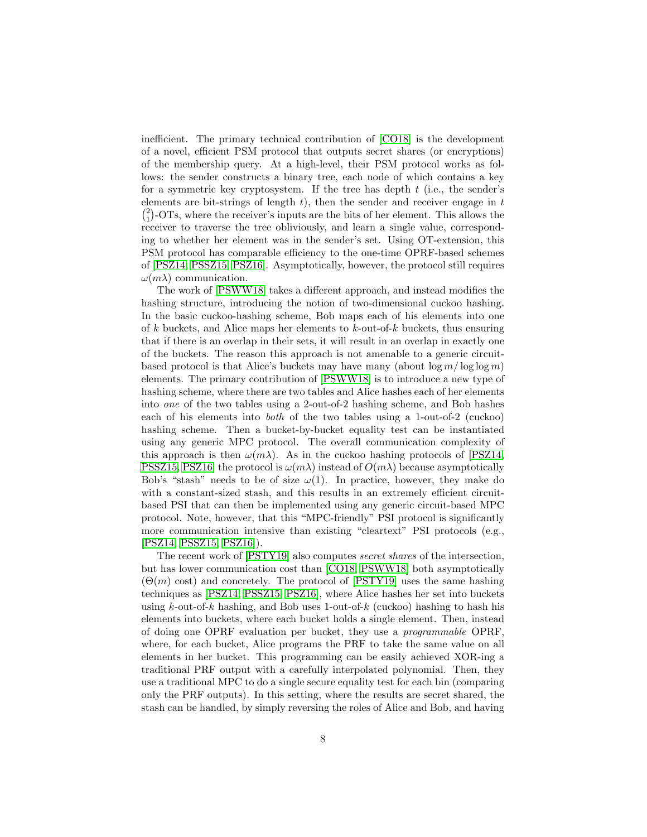inefficient. The primary technical contribution of [\[CO18\]](#page-24-3) is the development of a novel, efficient PSM protocol that outputs secret shares (or encryptions) of the membership query. At a high-level, their PSM protocol works as follows: the sender constructs a binary tree, each node of which contains a key for a symmetric key cryptosystem. If the tree has depth  $t$  (i.e., the sender's elements are bit-strings of length  $t$ ), then the sender and receiver engage in  $t$  $\binom{2}{1}$ -OTs, where the receiver's inputs are the bits of her element. This allows the receiver to traverse the tree obliviously, and learn a single value, corresponding to whether her element was in the sender's set. Using OT-extension, this PSM protocol has comparable efficiency to the one-time OPRF-based schemes of [\[PSZ14,](#page-28-0) [PSSZ15,](#page-28-1) [PSZ16\]](#page-28-5). Asymptotically, however, the protocol still requires  $\omega(m\lambda)$  communication.

The work of [\[PSWW18\]](#page-28-8) takes a different approach, and instead modifies the hashing structure, introducing the notion of two-dimensional cuckoo hashing. In the basic cuckoo-hashing scheme, Bob maps each of his elements into one of k buckets, and Alice maps her elements to  $k$ -out-of-k buckets, thus ensuring that if there is an overlap in their sets, it will result in an overlap in exactly one of the buckets. The reason this approach is not amenable to a generic circuitbased protocol is that Alice's buckets may have many (about  $\log m / \log \log m$ ) elements. The primary contribution of [\[PSWW18\]](#page-28-8) is to introduce a new type of hashing scheme, where there are two tables and Alice hashes each of her elements into one of the two tables using a 2-out-of-2 hashing scheme, and Bob hashes each of his elements into both of the two tables using a 1-out-of-2 (cuckoo) hashing scheme. Then a bucket-by-bucket equality test can be instantiated using any generic MPC protocol. The overall communication complexity of this approach is then  $\omega(m\lambda)$ . As in the cuckoo hashing protocols of [\[PSZ14,](#page-28-0) [PSSZ15,](#page-28-1) [PSZ16\]](#page-28-5) the protocol is  $\omega(m\lambda)$  instead of  $O(m\lambda)$  because asymptotically Bob's "stash" needs to be of size  $\omega(1)$ . In practice, however, they make do with a constant-sized stash, and this results in an extremely efficient circuitbased PSI that can then be implemented using any generic circuit-based MPC protocol. Note, however, that this "MPC-friendly" PSI protocol is significantly more communication intensive than existing "cleartext" PSI protocols (e.g., [\[PSZ14,](#page-28-0) [PSSZ15,](#page-28-1) [PSZ16\]](#page-28-5)).

The recent work of [\[PSTY19\]](#page-28-9) also computes secret shares of the intersection, but has lower communication cost than [\[CO18,](#page-24-3) [PSWW18\]](#page-28-8) both asymptotically  $(\Theta(m) \text{ cost})$  and concretely. The protocol of [\[PSTY19\]](#page-28-9) uses the same hashing techniques as [\[PSZ14,](#page-28-0) [PSSZ15,](#page-28-1) [PSZ16\]](#page-28-5), where Alice hashes her set into buckets using  $k$ -out-of-k hashing, and Bob uses 1-out-of-k (cuckoo) hashing to hash his elements into buckets, where each bucket holds a single element. Then, instead of doing one OPRF evaluation per bucket, they use a programmable OPRF, where, for each bucket, Alice programs the PRF to take the same value on all elements in her bucket. This programming can be easily achieved XOR-ing a traditional PRF output with a carefully interpolated polynomial. Then, they use a traditional MPC to do a single secure equality test for each bin (comparing only the PRF outputs). In this setting, where the results are secret shared, the stash can be handled, by simply reversing the roles of Alice and Bob, and having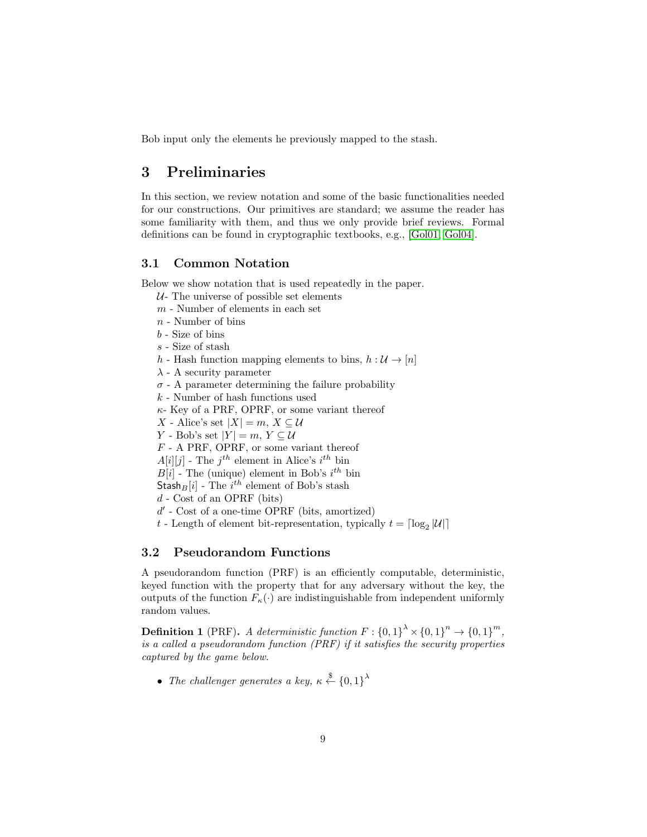Bob input only the elements he previously mapped to the stash.

## 3 Preliminaries

In this section, we review notation and some of the basic functionalities needed for our constructions. Our primitives are standard; we assume the reader has some familiarity with them, and thus we only provide brief reviews. Formal definitions can be found in cryptographic textbooks, e.g., [\[Gol01,](#page-25-7) [Gol04\]](#page-25-8).

#### 3.1 Common Notation

Below we show notation that is used repeatedly in the paper.

- $U$  The universe of possible set elements
- $m$  Number of elements in each set
- $n$  Number of bins
- b Size of bins
- s Size of stash
- h Hash function mapping elements to bins,  $h : U \rightarrow [n]$
- $\lambda$  A security parameter
- $\sigma$  A parameter determining the failure probability
- $k$  Number of hash functions used
- $\kappa$  Key of a PRF, OPRF, or some variant thereof
- X Alice's set  $|X| = m, X \subseteq \mathcal{U}$
- Y Bob's set  $|Y| = m, Y \subseteq \mathcal{U}$
- F A PRF, OPRF, or some variant thereof
- $A[i][j]$  The  $j^{th}$  element in Alice's  $i^{th}$  bin
- $B[i]$  The (unique) element in Bob's  $i^{th}$  bin
- $\mathsf{Stash}_B[i]$  The  $i^{th}$  element of Bob's stash
- $d$  Cost of an OPRF (bits)
- d 0 Cost of a one-time OPRF (bits, amortized)
- t Length of element bit-representation, typically  $t = \lceil \log_2 |\mathcal{U}| \rceil$

#### 3.2 Pseudorandom Functions

A pseudorandom function (PRF) is an efficiently computable, deterministic, keyed function with the property that for any adversary without the key, the outputs of the function  $F_{\kappa}(\cdot)$  are indistinguishable from independent uniformly random values.

**Definition 1** (PRF). A deterministic function  $F: \{0,1\}^{\lambda} \times \{0,1\}^n \rightarrow \{0,1\}^m$ , is a called a pseudorandom function (PRF) if it satisfies the security properties captured by the game below.

• The challenger generates a key,  $\kappa \stackrel{\$}{\leftarrow} \{0,1\}^{\lambda}$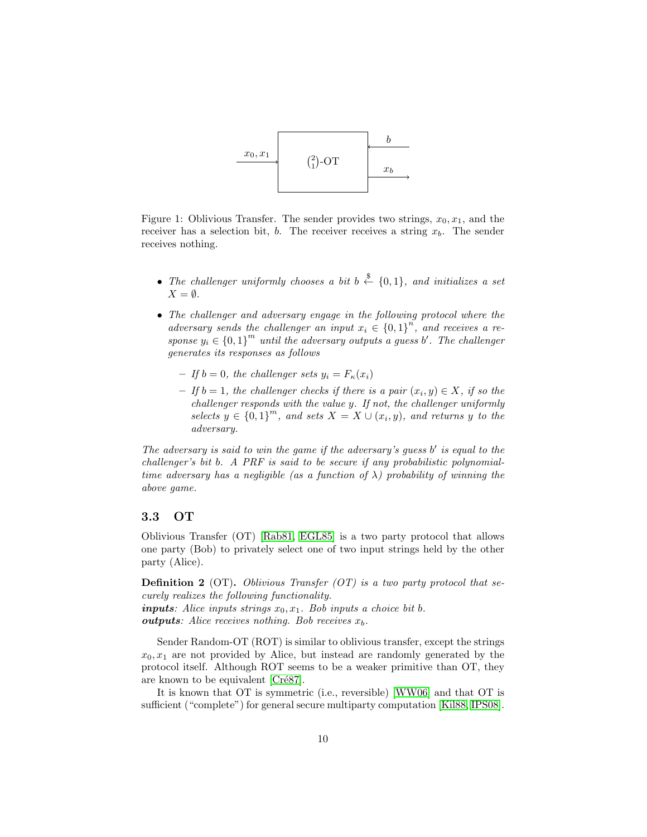

Figure 1: Oblivious Transfer. The sender provides two strings,  $x_0, x_1$ , and the receiver has a selection bit, b. The receiver receives a string  $x_b$ . The sender receives nothing.

- The challenger uniformly chooses a bit  $b \stackrel{\$}{\leftarrow} \{0,1\}$ , and initializes a set  $X = \emptyset$ .
- The challenger and adversary engage in the following protocol where the adversary sends the challenger an input  $x_i \in \{0,1\}^n$ , and receives a response  $y_i \in \{0,1\}^m$  until the adversary outputs a guess  $b'$ . The challenger generates its responses as follows
	- If  $b = 0$ , the challenger sets  $y_i = F_{\kappa}(x_i)$
	- $-If b = 1$ , the challenger checks if there is a pair  $(x_i, y) \in X$ , if so the challenger responds with the value y. If not, the challenger uniformly selects  $y \in \{0,1\}^m$ , and sets  $X = X \cup (x_i, y)$ , and returns y to the adversary.

The adversary is said to win the game if the adversary's guess  $b'$  is equal to the challenger's bit b. A PRF is said to be secure if any probabilistic polynomialtime adversary has a negligible (as a function of  $\lambda$ ) probability of winning the above game.

#### 3.3 OT

Oblivious Transfer (OT) [\[Rab81,](#page-28-10) [EGL85\]](#page-25-9) is a two party protocol that allows one party (Bob) to privately select one of two input strings held by the other party (Alice).

**Definition 2** (OT). Oblivious Transfer (OT) is a two party protocol that securely realizes the following functionality. **inputs**: Alice inputs strings  $x_0, x_1$ . Bob inputs a choice bit b.

**outputs**: Alice receives nothing. Bob receives  $x_b$ .

Sender Random-OT (ROT) is similar to oblivious transfer, except the strings  $x_0, x_1$  are not provided by Alice, but instead are randomly generated by the protocol itself. Although ROT seems to be a weaker primitive than OT, they are known to be equivalent  $[Cr\'{e}87]$ .

It is known that OT is symmetric (i.e., reversible) [\[WW06\]](#page-29-1) and that OT is sufficient ("complete") for general secure multiparty computation [\[Kil88,](#page-27-5) [IPS08\]](#page-26-5).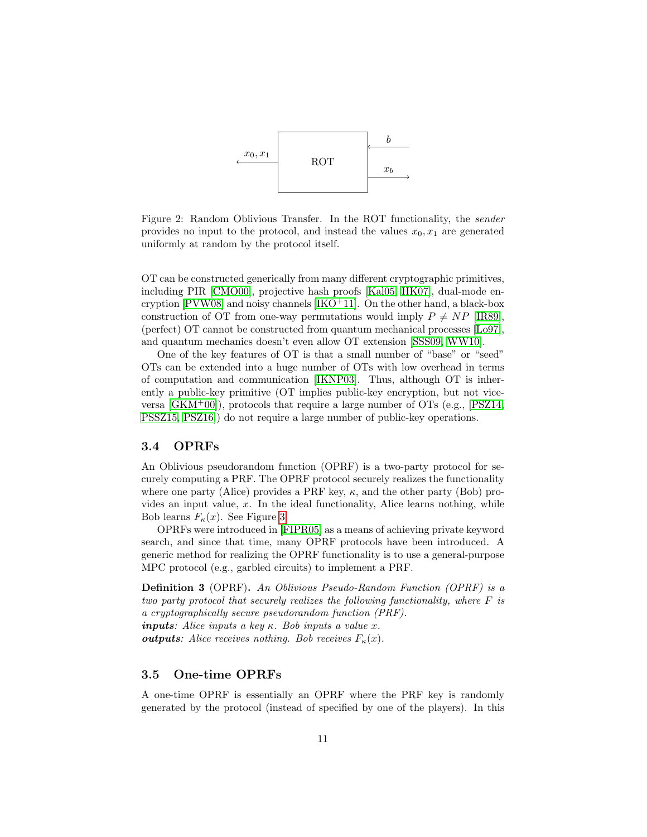

Figure 2: Random Oblivious Transfer. In the ROT functionality, the sender provides no input to the protocol, and instead the values  $x_0, x_1$  are generated uniformly at random by the protocol itself.

OT can be constructed generically from many different cryptographic primitives, including PIR [\[CMO00\]](#page-24-5), projective hash proofs [\[Kal05,](#page-26-6) [HK07\]](#page-26-7), dual-mode encryption  $[PVW08]$  and noisy channels  $[IKO+11]$  $[IKO+11]$ . On the other hand, a black-box construction of OT from one-way permutations would imply  $P \neq NP$  [\[IR89\]](#page-26-9), (perfect) OT cannot be constructed from quantum mechanical processes [\[Lo97\]](#page-27-6), and quantum mechanics doesn't even allow OT extension [\[SSS09,](#page-28-12) [WW10\]](#page-29-2).

One of the key features of OT is that a small number of "base" or "seed" OTs can be extended into a huge number of OTs with low overhead in terms of computation and communication [\[IKNP03\]](#page-26-10). Thus, although OT is inherently a public-key primitive (OT implies public-key encryption, but not viceversa  $[GKM^+00]$  $[GKM^+00]$ , protocols that require a large number of OTs (e.g., [\[PSZ14,](#page-28-0) [PSSZ15,](#page-28-1) [PSZ16\]](#page-28-5)) do not require a large number of public-key operations.

#### 3.4 OPRFs

An Oblivious pseudorandom function (OPRF) is a two-party protocol for securely computing a PRF. The OPRF protocol securely realizes the functionality where one party (Alice) provides a PRF key,  $\kappa$ , and the other party (Bob) provides an input value,  $x$ . In the ideal functionality, Alice learns nothing, while Bob learns  $F_{\kappa}(x)$ . See Figure [3.](#page-11-0)

OPRFs were introduced in [\[FIPR05\]](#page-25-5) as a means of achieving private keyword search, and since that time, many OPRF protocols have been introduced. A generic method for realizing the OPRF functionality is to use a general-purpose MPC protocol (e.g., garbled circuits) to implement a PRF.

Definition 3 (OPRF). An Oblivious Pseudo-Random Function (OPRF) is a two party protocol that securely realizes the following functionality, where F is a cryptographically secure pseudorandom function (PRF). inputs: Alice inputs a key  $\kappa$ . Bob inputs a value x.

**outputs**: Alice receives nothing. Bob receives  $F_{\kappa}(x)$ .

#### 3.5 One-time OPRFs

A one-time OPRF is essentially an OPRF where the PRF key is randomly generated by the protocol (instead of specified by one of the players). In this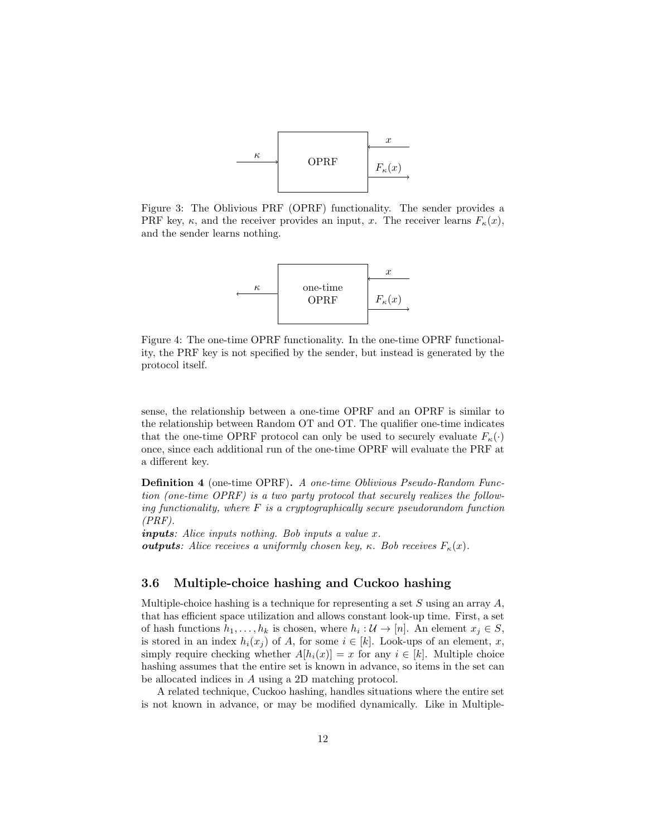

<span id="page-11-0"></span>Figure 3: The Oblivious PRF (OPRF) functionality. The sender provides a PRF key,  $\kappa$ , and the receiver provides an input, x. The receiver learns  $F_{\kappa}(x)$ , and the sender learns nothing.



Figure 4: The one-time OPRF functionality. In the one-time OPRF functionality, the PRF key is not specified by the sender, but instead is generated by the protocol itself.

sense, the relationship between a one-time OPRF and an OPRF is similar to the relationship between Random OT and OT. The qualifier one-time indicates that the one-time OPRF protocol can only be used to securely evaluate  $F_{\kappa}(\cdot)$ once, since each additional run of the one-time OPRF will evaluate the PRF at a different key.

Definition 4 (one-time OPRF). A one-time Oblivious Pseudo-Random Function (one-time OPRF) is a two party protocol that securely realizes the following functionality, where  $F$  is a cryptographically secure pseudorandom function  $(PRF)$ .

 $inputs: Alice inputs nothing. Bob inputs a value  $x$ .$ **outputs**: Alice receives a uniformly chosen key, κ. Bob receives  $F_{\kappa}(x)$ .

#### 3.6 Multiple-choice hashing and Cuckoo hashing

Multiple-choice hashing is a technique for representing a set  $S$  using an array  $A$ , that has efficient space utilization and allows constant look-up time. First, a set of hash functions  $h_1, \ldots, h_k$  is chosen, where  $h_i: \mathcal{U} \to [n]$ . An element  $x_j \in S$ , is stored in an index  $h_i(x_i)$  of A, for some  $i \in [k]$ . Look-ups of an element, x, simply require checking whether  $A[h_i(x)] = x$  for any  $i \in [k]$ . Multiple choice hashing assumes that the entire set is known in advance, so items in the set can be allocated indices in A using a 2D matching protocol.

A related technique, Cuckoo hashing, handles situations where the entire set is not known in advance, or may be modified dynamically. Like in Multiple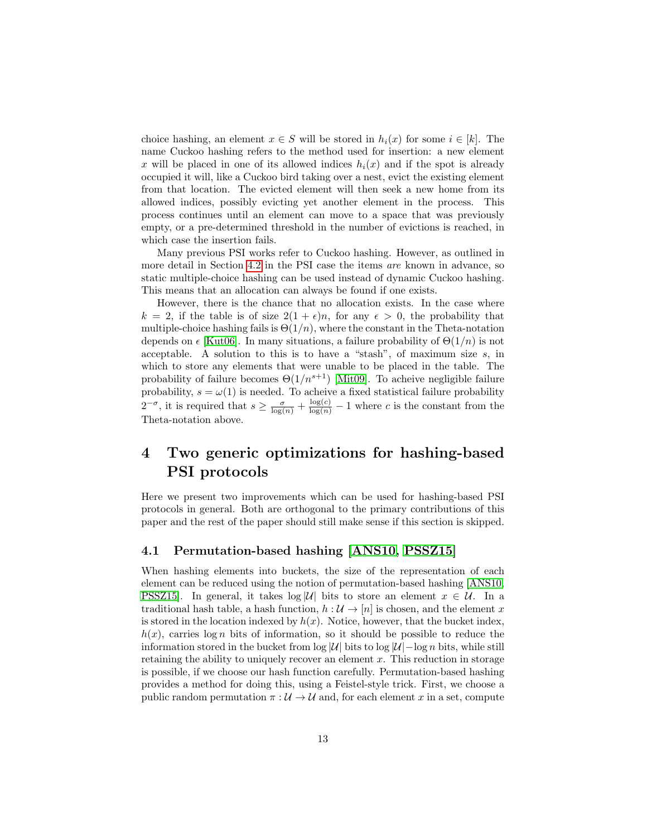choice hashing, an element  $x \in S$  will be stored in  $h_i(x)$  for some  $i \in [k]$ . The name Cuckoo hashing refers to the method used for insertion: a new element x will be placed in one of its allowed indices  $h_i(x)$  and if the spot is already occupied it will, like a Cuckoo bird taking over a nest, evict the existing element from that location. The evicted element will then seek a new home from its allowed indices, possibly evicting yet another element in the process. This process continues until an element can move to a space that was previously empty, or a pre-determined threshold in the number of evictions is reached, in which case the insertion fails.

Many previous PSI works refer to Cuckoo hashing. However, as outlined in more detail in Section [4.2](#page-13-0) in the PSI case the items are known in advance, so static multiple-choice hashing can be used instead of dynamic Cuckoo hashing. This means that an allocation can always be found if one exists.

However, there is the chance that no allocation exists. In the case where  $k = 2$ , if the table is of size  $2(1 + \epsilon)n$ , for any  $\epsilon > 0$ , the probability that multiple-choice hashing fails is  $\Theta(1/n)$ , where the constant in the Theta-notation depends on  $\epsilon$  [\[Kut06\]](#page-27-7). In many situations, a failure probability of  $\Theta(1/n)$  is not acceptable. A solution to this is to have a "stash", of maximum size s, in which to store any elements that were unable to be placed in the table. The probability of failure becomes  $\Theta(1/n^{s+1})$  [\[Mit09\]](#page-27-8). To acheive negligible failure probability,  $s = \omega(1)$  is needed. To acheive a fixed statistical failure probability  $2^{-\sigma}$ , it is required that  $s \geq \frac{\sigma}{\log(n)} + \frac{\log(c)}{\log(n)} - 1$  where c is the constant from the Theta-notation above.

## 4 Two generic optimizations for hashing-based PSI protocols

Here we present two improvements which can be used for hashing-based PSI protocols in general. Both are orthogonal to the primary contributions of this paper and the rest of the paper should still make sense if this section is skipped.

#### <span id="page-12-0"></span>4.1 Permutation-based hashing [\[ANS10,](#page-24-6) [PSSZ15\]](#page-28-1)

When hashing elements into buckets, the size of the representation of each element can be reduced using the notion of permutation-based hashing [\[ANS10,](#page-24-6) PSSZ15. In general, it takes  $log |\mathcal{U}|$  bits to store an element  $x \in \mathcal{U}$ . In a traditional hash table, a hash function,  $h : U \to [n]$  is chosen, and the element x is stored in the location indexed by  $h(x)$ . Notice, however, that the bucket index,  $h(x)$ , carries log n bits of information, so it should be possible to reduce the information stored in the bucket from  $\log |\mathcal{U}|$  bits to  $\log |\mathcal{U}|$  -log n bits, while still retaining the ability to uniquely recover an element  $x$ . This reduction in storage is possible, if we choose our hash function carefully. Permutation-based hashing provides a method for doing this, using a Feistel-style trick. First, we choose a public random permutation  $\pi : \mathcal{U} \to \mathcal{U}$  and, for each element x in a set, compute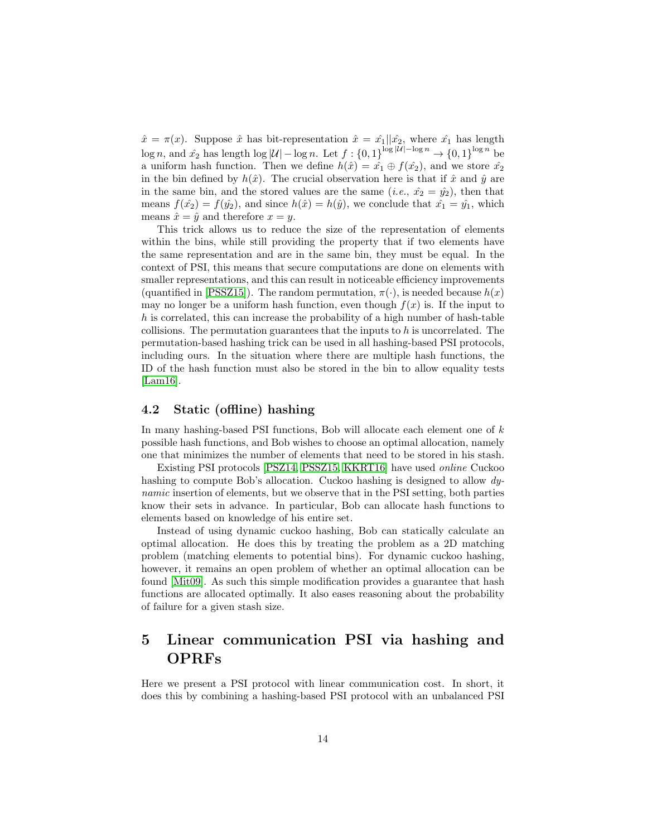$\hat{x} = \pi(x)$ . Suppose  $\hat{x}$  has bit-representation  $\hat{x} = \hat{x}_1 || \hat{x}_2$ , where  $\hat{x}_1$  has length  $\log n$ , and  $\hat{x_2}$  has length  $\log |\mathcal{U}| - \log n$ . Let  $f: \{0,1\}^{\log |\mathcal{U}| - \log n} \to \{0,1\}^{\log n}$  be a uniform hash function. Then we define  $h(\hat{x}) = \hat{x}_1 \oplus f(\hat{x}_2)$ , and we store  $\hat{x}_2$ in the bin defined by  $h(\hat{x})$ . The crucial observation here is that if  $\hat{x}$  and  $\hat{y}$  are in the same bin, and the stored values are the same  $(i.e., \hat{x_2} = \hat{y_2})$ , then that means  $f(\hat{x_2}) = f(\hat{y_2})$ , and since  $h(\hat{x}) = h(\hat{y})$ , we conclude that  $\hat{x_1} = \hat{y_1}$ , which means  $\hat{x} = \hat{y}$  and therefore  $x = y$ .

This trick allows us to reduce the size of the representation of elements within the bins, while still providing the property that if two elements have the same representation and are in the same bin, they must be equal. In the context of PSI, this means that secure computations are done on elements with smaller representations, and this can result in noticeable efficiency improvements (quantified in [\[PSSZ15\]](#page-28-1)). The random permutation,  $\pi(\cdot)$ , is needed because  $h(x)$ may no longer be a uniform hash function, even though  $f(x)$  is. If the input to h is correlated, this can increase the probability of a high number of hash-table collisions. The permutation guarantees that the inputs to  $h$  is uncorrelated. The permutation-based hashing trick can be used in all hashing-based PSI protocols, including ours. In the situation where there are multiple hash functions, the ID of the hash function must also be stored in the bin to allow equality tests [\[Lam16\]](#page-27-9).

#### <span id="page-13-0"></span>4.2 Static (offline) hashing

In many hashing-based PSI functions, Bob will allocate each element one of  $k$ possible hash functions, and Bob wishes to choose an optimal allocation, namely one that minimizes the number of elements that need to be stored in his stash.

Existing PSI protocols [\[PSZ14,](#page-28-0) [PSSZ15,](#page-28-1) [KKRT16\]](#page-27-0) have used online Cuckoo hashing to compute Bob's allocation. Cuckoo hashing is designed to allow dynamic insertion of elements, but we observe that in the PSI setting, both parties know their sets in advance. In particular, Bob can allocate hash functions to elements based on knowledge of his entire set.

Instead of using dynamic cuckoo hashing, Bob can statically calculate an optimal allocation. He does this by treating the problem as a 2D matching problem (matching elements to potential bins). For dynamic cuckoo hashing, however, it remains an open problem of whether an optimal allocation can be found [\[Mit09\]](#page-27-8). As such this simple modification provides a guarantee that hash functions are allocated optimally. It also eases reasoning about the probability of failure for a given stash size.

## 5 Linear communication PSI via hashing and OPRFs

Here we present a PSI protocol with linear communication cost. In short, it does this by combining a hashing-based PSI protocol with an unbalanced PSI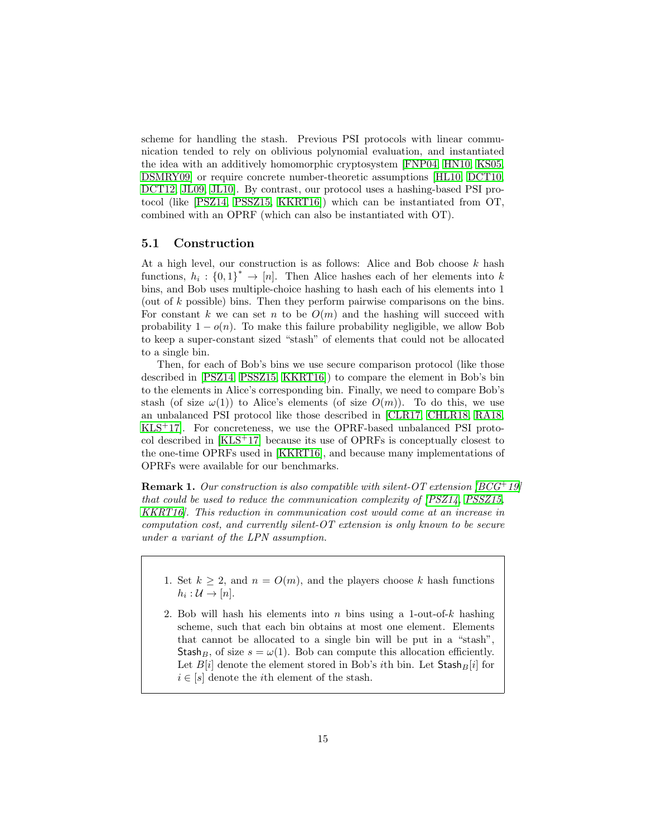scheme for handling the stash. Previous PSI protocols with linear communication tended to rely on oblivious polynomial evaluation, and instantiated the idea with an additively homomorphic cryptosystem [\[FNP04,](#page-25-1) [HN10,](#page-26-3) [KS05,](#page-27-3) [DSMRY09\]](#page-25-2) or require concrete number-theoretic assumptions [\[HL10,](#page-26-0) [DCT10,](#page-25-3) [DCT12,](#page-25-4) [JL09,](#page-26-1) [JL10\]](#page-26-2). By contrast, our protocol uses a hashing-based PSI protocol (like [\[PSZ14,](#page-28-0) [PSSZ15,](#page-28-1) [KKRT16\]](#page-27-0)) which can be instantiated from OT, combined with an OPRF (which can also be instantiated with OT).

#### <span id="page-14-0"></span>5.1 Construction

At a high level, our construction is as follows: Alice and Bob choose  $k$  hash functions,  $h_i: \{0,1\}^* \to [n]$ . Then Alice hashes each of her elements into k bins, and Bob uses multiple-choice hashing to hash each of his elements into 1 (out of  $k$  possible) bins. Then they perform pairwise comparisons on the bins. For constant k we can set n to be  $O(m)$  and the hashing will succeed with probability  $1 - o(n)$ . To make this failure probability negligible, we allow Bob to keep a super-constant sized "stash" of elements that could not be allocated to a single bin.

Then, for each of Bob's bins we use secure comparison protocol (like those described in [\[PSZ14,](#page-28-0) [PSSZ15,](#page-28-1) [KKRT16\]](#page-27-0)) to compare the element in Bob's bin to the elements in Alice's corresponding bin. Finally, we need to compare Bob's stash (of size  $\omega(1)$ ) to Alice's elements (of size  $O(m)$ ). To do this, we use an unbalanced PSI protocol like those described in [\[CLR17,](#page-24-0) [CHLR18,](#page-24-1) [RA18,](#page-28-2) [KLS](#page-27-2)+17]. For concreteness, we use the OPRF-based unbalanced PSI protocol described in [\[KLS](#page-27-2)+17] because its use of OPRFs is conceptually closest to the one-time OPRFs used in [\[KKRT16\]](#page-27-0), and because many implementations of OPRFs were available for our benchmarks.

**Remark 1.** Our construction is also compatible with silent-OT extension  $|BCG^+19|$ that could be used to reduce the communication complexity of [\[PSZ14,](#page-28-0) [PSSZ15,](#page-28-1) [KKRT16\]](#page-27-0). This reduction in communication cost would come at an increase in computation cost, and currently silent-OT extension is only known to be secure under a variant of the LPN assumption.

- 1. Set  $k \geq 2$ , and  $n = O(m)$ , and the players choose k hash functions  $h_i: \mathcal{U} \to [n].$
- 2. Bob will hash his elements into n bins using a 1-out-of-k hashing scheme, such that each bin obtains at most one element. Elements that cannot be allocated to a single bin will be put in a "stash", Stash<sub>B</sub>, of size  $s = \omega(1)$ . Bob can compute this allocation efficiently. Let  $B[i]$  denote the element stored in Bob's *i*th bin. Let  $\text{Stash}_B[i]$  for  $i \in [s]$  denote the *i*th element of the stash.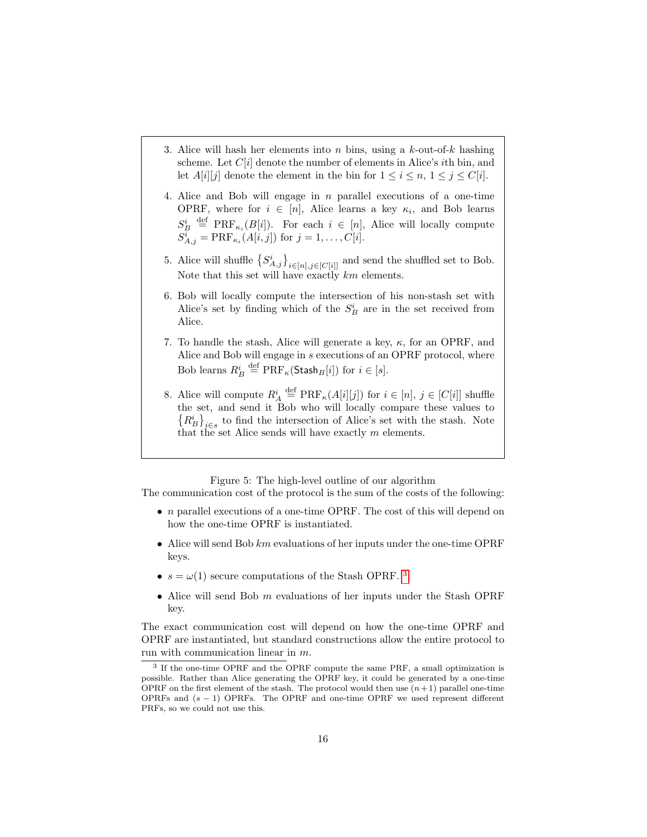- 3. Alice will hash her elements into n bins, using a  $k$ -out-of- $k$  hashing scheme. Let  $C[i]$  denote the number of elements in Alice's *i*th bin, and let  $A[i][j]$  denote the element in the bin for  $1 \leq i \leq n, 1 \leq j \leq C[i]$ .
- 4. Alice and Bob will engage in  $n$  parallel executions of a one-time OPRF, where for  $i \in [n]$ , Alice learns a key  $\kappa_i$ , and Bob learns  $S_B^i$  = PRF<sub> $\kappa_i(B[i])$ . For each  $i \in [n]$ , Alice will locally compute</sub>  $S_{A,j}^i = \text{PRF}_{\kappa_i}(A[i,j])$  for  $j = 1, \ldots, C[i]$ .
- 5. Alice will shuffle  $\{S_{A,j}^i\}_{i \in [n], j \in [C[i]]}$  and send the shuffled set to Bob. Note that this set will have exactly  $km$  elements.
- 6. Bob will locally compute the intersection of his non-stash set with Alice's set by finding which of the  $S_B^i$  are in the set received from Alice.
- 7. To handle the stash, Alice will generate a key,  $\kappa$ , for an OPRF, and Alice and Bob will engage in s executions of an OPRF protocol, where Bob learns  $R_B^i \stackrel{\text{def}}{=} \text{PRF}_{\kappa}(\text{Stash}_B[i])$  for  $i \in [s]$ .
- 8. Alice will compute  $R_A^i \stackrel{\text{def}}{=} \text{PRF}_{\kappa}(A[i][j])$  for  $i \in [n], j \in [C[i]]$  shuffle the set, and send it Bob who will locally compare these values to  ${R_B^i}_{i\in s}$  to find the intersection of Alice's set with the stash. Note that the set Alice sends will have exactly  $m$  elements.

<span id="page-15-1"></span>Figure 5: The high-level outline of our algorithm

The communication cost of the protocol is the sum of the costs of the following:

- $\bullet$  *n* parallel executions of a one-time OPRF. The cost of this will depend on how the one-time OPRF is instantiated.
- Alice will send Bob  $km$  evaluations of her inputs under the one-time OPRF keys.
- $s = \omega(1)$  secure computations of the Stash OPRF.<sup>[3](#page-15-0)</sup>
- Alice will send Bob  $m$  evaluations of her inputs under the Stash OPRF key.

The exact communication cost will depend on how the one-time OPRF and OPRF are instantiated, but standard constructions allow the entire protocol to run with communication linear in m.

<span id="page-15-0"></span><sup>3</sup> If the one-time OPRF and the OPRF compute the same PRF, a small optimization is possible. Rather than Alice generating the OPRF key, it could be generated by a one-time OPRF on the first element of the stash. The protocol would then use  $(n+1)$  parallel one-time OPRFs and  $(s - 1)$  OPRFs. The OPRF and one-time OPRF we used represent different PRFs, so we could not use this.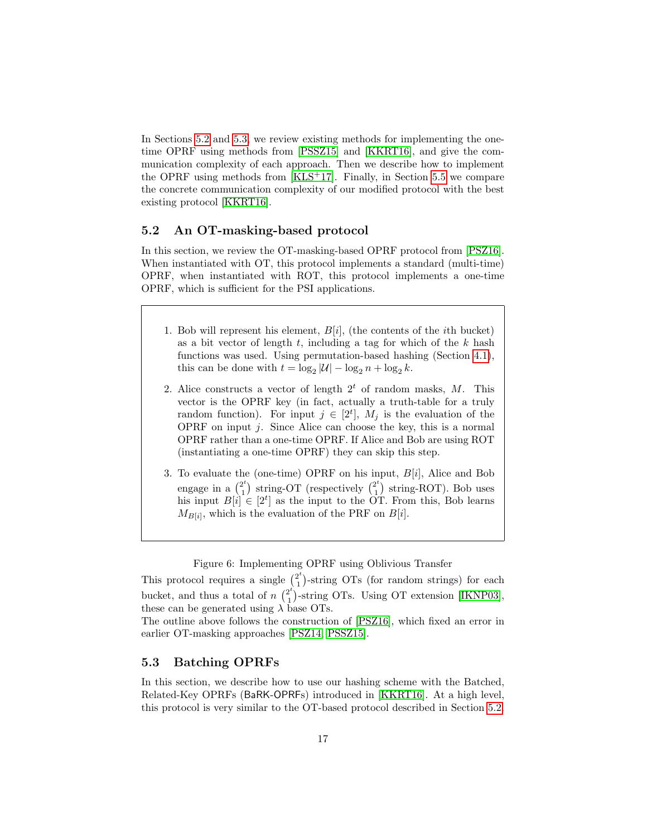In Sections [5.2](#page-16-0) and [5.3,](#page-16-1) we review existing methods for implementing the onetime OPRF using methods from [\[PSSZ15\]](#page-28-1) and [\[KKRT16\]](#page-27-0), and give the communication complexity of each approach. Then we describe how to implement the OPRF using methods from  $[KLS<sup>+</sup>17]$  $[KLS<sup>+</sup>17]$ . Finally, in Section [5.5](#page-20-0) we compare the concrete communication complexity of our modified protocol with the best existing protocol [\[KKRT16\]](#page-27-0).

#### <span id="page-16-0"></span>5.2 An OT-masking-based protocol

In this section, we review the OT-masking-based OPRF protocol from [\[PSZ16\]](#page-28-5). When instantiated with OT, this protocol implements a standard (multi-time) OPRF, when instantiated with ROT, this protocol implements a one-time OPRF, which is sufficient for the PSI applications.

- 1. Bob will represent his element,  $B[i]$ , (the contents of the *i*th bucket) as a bit vector of length  $t$ , including a tag for which of the  $k$  hash functions was used. Using permutation-based hashing (Section [4.1\)](#page-12-0), this can be done with  $t = \log_2 |\mathcal{U}| - \log_2 n + \log_2 k$ .
- 2. Alice constructs a vector of length  $2<sup>t</sup>$  of random masks, M. This vector is the OPRF key (in fact, actually a truth-table for a truly random function). For input  $j \in [2^t]$ ,  $M_j$  is the evaluation of the OPRF on input  $i$ . Since Alice can choose the key, this is a normal OPRF rather than a one-time OPRF. If Alice and Bob are using ROT (instantiating a one-time OPRF) they can skip this step.
- 3. To evaluate the (one-time) OPRF on his input,  $B[i]$ , Alice and Bob engage in a  $\binom{2^t}{1}$  $\binom{2^t}{1}$  string-OT (respectively  $\binom{2^t}{1}$  $\binom{2^2}{1}$  string-ROT). Bob uses his input  $B[i] \in [2^t]$  as the input to the OT. From this, Bob learns  $M_{B[i]}$ , which is the evaluation of the PRF on  $B[i]$ .

Figure 6: Implementing OPRF using Oblivious Transfer

This protocol requires a single  $\binom{2^t}{1}$  $_{1}^{2}$ <sup>2</sup>. String OTs (for random strings) for each bucket, and thus a total of  $n\binom{2^t}{1}$  $_{1}^{2}$ <sup>2</sup>)-string OTs. Using OT extension [\[IKNP03\]](#page-26-10), these can be generated using  $\lambda$  base OTs.

The outline above follows the construction of [\[PSZ16\]](#page-28-5), which fixed an error in earlier OT-masking approaches [\[PSZ14,](#page-28-0) [PSSZ15\]](#page-28-1).

#### <span id="page-16-1"></span>5.3 Batching OPRFs

In this section, we describe how to use our hashing scheme with the Batched, Related-Key OPRFs (BaRK-OPRFs) introduced in [\[KKRT16\]](#page-27-0). At a high level, this protocol is very similar to the OT-based protocol described in Section [5.2.](#page-16-0)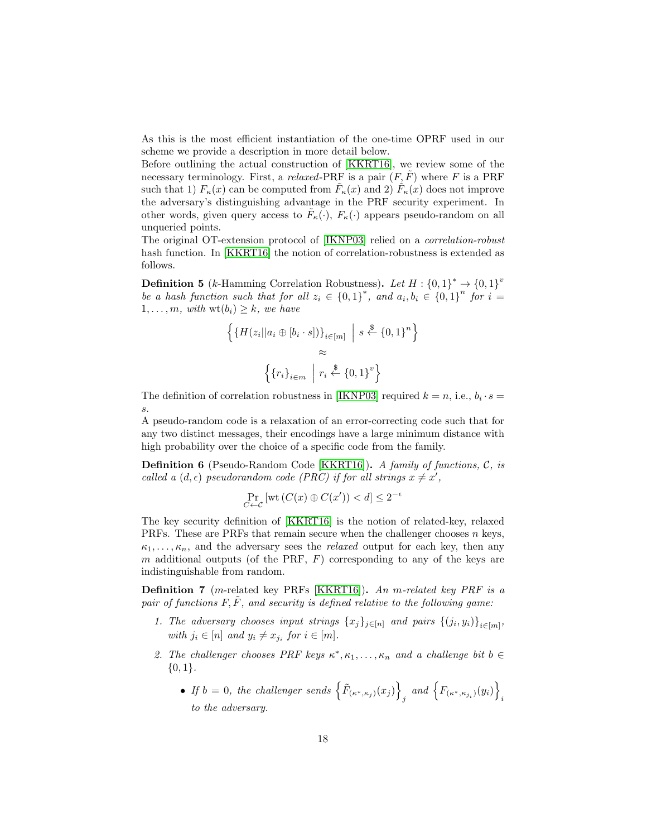As this is the most efficient instantiation of the one-time OPRF used in our scheme we provide a description in more detail below.

Before outlining the actual construction of [\[KKRT16\]](#page-27-0), we review some of the necessary terminology. First, a relaxed-PRF is a pair  $(F, \overline{F})$  where F is a PRF such that 1)  $F_{\kappa}(x)$  can be computed from  $\tilde{F}_{\kappa}(x)$  and 2)  $\tilde{F}_{\kappa}(x)$  does not improve the adversary's distinguishing advantage in the PRF security experiment. In other words, given query access to  $\tilde{F}_{\kappa}(\cdot), F_{\kappa}(\cdot)$  appears pseudo-random on all unqueried points.

The original OT-extension protocol of [\[IKNP03\]](#page-26-10) relied on a correlation-robust hash function. In [\[KKRT16\]](#page-27-0) the notion of correlation-robustness is extended as follows.

**Definition 5** (*k*-Hamming Correlation Robustness). Let  $H: \{0,1\}^* \to \{0,1\}^v$ be a hash function such that for all  $z_i \in \{0,1\}^*$ , and  $a_i, b_i \in \{0,1\}^n$  for  $i =$  $1, \ldots, m$ , with  $\text{wt}(b_i) \geq k$ , we have

$$
\left\{ \{ H(z_i || a_i \oplus [b_i \cdot s]) \}_{i \in [m]} \middle| s \stackrel{\$}{\leftarrow} \{0, 1\}^n \right\}
$$

$$
\approx
$$

$$
\left\{ \{r_i\}_{i \in m} \middle| r_i \stackrel{\$}{\leftarrow} \{0, 1\}^v \right\}
$$

The definition of correlation robustness in [\[IKNP03\]](#page-26-10) required  $k = n$ , i.e.,  $b_i \cdot s =$ s.

A pseudo-random code is a relaxation of an error-correcting code such that for any two distinct messages, their encodings have a large minimum distance with high probability over the choice of a specific code from the family.

**Definition 6** (Pseudo-Random Code [\[KKRT16\]](#page-27-0)). A family of functions,  $C$ , is called a  $(d, \epsilon)$  pseudorandom code (PRC) if for all strings  $x \neq x'$ ,

$$
\Pr_{C \leftarrow C} \left[ \text{wt} \left( C(x) \oplus C(x') \right) < d \right] \leq 2^{-\epsilon}
$$

The key security definition of [\[KKRT16\]](#page-27-0) is the notion of related-key, relaxed PRFs. These are PRFs that remain secure when the challenger chooses  $n$  keys,  $\kappa_1, \ldots, \kappa_n$ , and the adversary sees the *relaxed* output for each key, then any m additional outputs (of the PRF,  $F$ ) corresponding to any of the keys are indistinguishable from random.

<span id="page-17-0"></span>Definition 7 (m-related key PRFs [\[KKRT16\]](#page-27-0)). An m-related key PRF is a pair of functions  $F, F,$  and security is defined relative to the following game:

- 1. The adversary chooses input strings  $\{x_j\}_{j\in[n]}$  and pairs  $\{(j_i, y_i)\}_{i\in[m]},$ with  $j_i \in [n]$  and  $y_i \neq x_{j_i}$  for  $i \in [m]$ .
- 2. The challenger chooses PRF keys  $\kappa^*, \kappa_1, \ldots, \kappa_n$  and a challenge bit  $b \in$  ${0,1}.$ 
	- If  $b = 0$ , the challenger sends  $\left\{ \tilde{F}_{(\kappa^*,\kappa_j)}(x_j) \right\}$ j and  $\left\{F_{(\kappa^*,\kappa_{j_i})}(y_i)\right\}$ i to the adversary.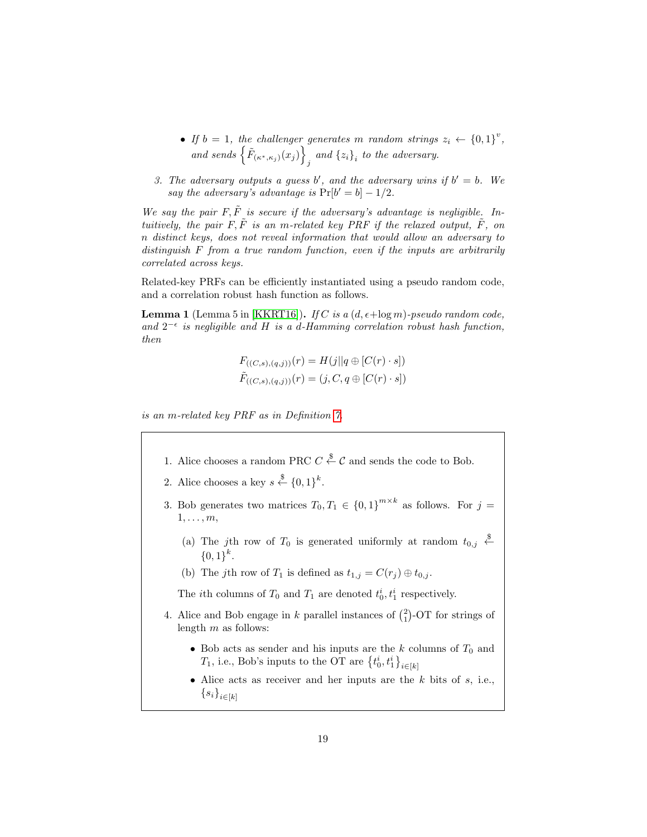- If  $b = 1$ , the challenger generates m random strings  $z_i \leftarrow \{0,1\}^v$ , and sends  $\left\{ \tilde{F}_{(\kappa^*,\kappa_j)}(x_j) \right\}$ and  ${z_i}_i$  to the adversary.
- 3. The adversary outputs a guess b', and the adversary wins if  $b' = b$ . We say the adversary's advantage is  $Pr[b' = b] - 1/2$ .

We say the pair  $F, \tilde{F}$  is secure if the adversary's advantage is negligible. Intuitively, the pair F,  $\tilde{F}$  is an m-related key PRF if the relaxed output,  $\tilde{F}$ , on n distinct keys, does not reveal information that would allow an adversary to distinguish F from a true random function, even if the inputs are arbitrarily correlated across keys.

Related-key PRFs can be efficiently instantiated using a pseudo random code, and a correlation robust hash function as follows.

**Lemma 1** (Lemma 5 in [\[KKRT16\]](#page-27-0)). If C is a  $(d, \epsilon + \log m)$ -pseudo random code, and  $2^{-\epsilon}$  is negligible and H is a d-Hamming correlation robust hash function, then

$$
F_{((C,s),(q,j))}(r) = H(j||q \oplus [C(r) \cdot s])
$$
  

$$
\tilde{F}_{((C,s),(q,j))}(r) = (j, C, q \oplus [C(r) \cdot s])
$$

is an m-related key PRF as in Definition [7.](#page-17-0)

- 1. Alice chooses a random PRC  $C \overset{\$} \leftarrow C$  and sends the code to Bob.
- 2. Alice chooses a key  $s \stackrel{\$}{\leftarrow} \{0,1\}^k$ .
- 3. Bob generates two matrices  $T_0, T_1 \in \{0,1\}^{m \times k}$  as follows. For  $j =$  $1, \ldots, m$ ,
	- (a) The jth row of  $T_0$  is generated uniformly at random  $t_{0,j} \stackrel{\$}{\leftarrow}$  ${0,1\}^k$ .
	- (b) The jth row of  $T_1$  is defined as  $t_{1,j} = C(r_j) \oplus t_{0,j}$ .

The *i*th columns of  $T_0$  and  $T_1$  are denoted  $t_0^i, t_1^i$  respectively.

- 4. Alice and Bob engage in k parallel instances of  $\binom{2}{1}$ -OT for strings of length  $m$  as follows:
	- Bob acts as sender and his inputs are the  $k$  columns of  $T_0$  and  $T_1$ , i.e., Bob's inputs to the OT are  $\{t^i_0, t^i_1\}_{i \in [k]}$
	- Alice acts as receiver and her inputs are the  $k$  bits of  $s$ , i.e.,  ${s_i}_{i \in [k]}$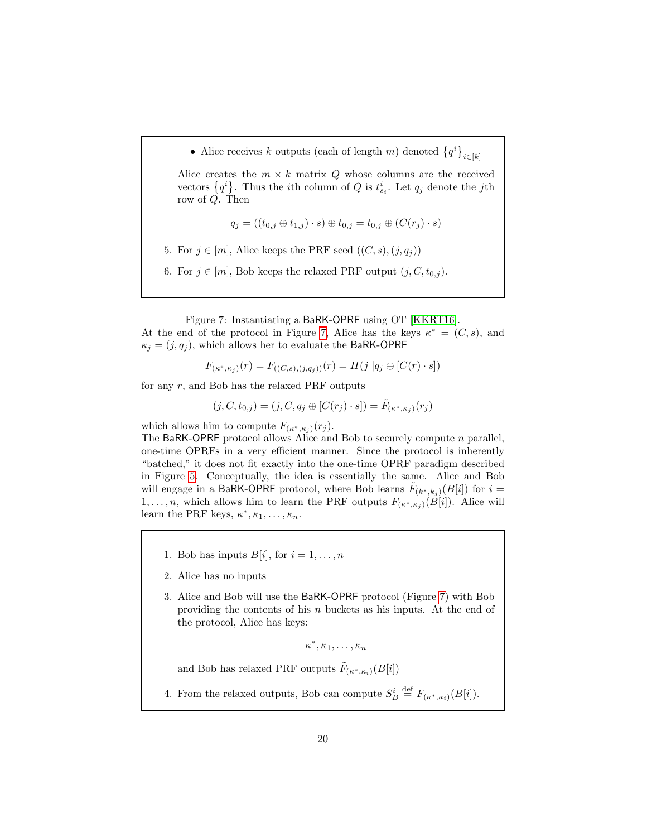• Alice receives k outputs (each of length m) denoted  $\{q^i\}_{i\in[k]}$ 

Alice creates the  $m \times k$  matrix Q whose columns are the received vectors  $\{q^i\}$ . Thus the *i*th column of Q is  $t^i_{s_i}$ . Let  $q_j$  denote the *j*th row of  $\tilde{Q}$ . Then

 $q_j = ((t_{0,j} \oplus t_{1,j}) \cdot s) \oplus t_{0,j} = t_{0,j} \oplus (C(r_j) \cdot s)$ 

- 5. For  $j \in [m]$ , Alice keeps the PRF seed  $((C, s), (j, q<sub>i</sub>))$
- 6. For  $j \in [m]$ , Bob keeps the relaxed PRF output  $(j, C, t_{0,j})$ .

Figure 7: Instantiating a BaRK-OPRF using OT [\[KKRT16\]](#page-27-0). At the end of the protocol in Figure [7,](#page-19-0) Alice has the keys  $\kappa^* = (C, s)$ , and  $\kappa_i = (j, q_i)$ , which allows her to evaluate the BaRK-OPRF

<span id="page-19-0"></span>
$$
F_{(\kappa^*,\kappa_j)}(r) = F_{((C,s),(j,q_j))}(r) = H(j||q_j \oplus [C(r) \cdot s])
$$

for any  $r$ , and Bob has the relaxed PRF outputs

$$
(j, C, t_{0,j}) = (j, C, q_j \oplus [C(r_j) \cdot s]) = \tilde{F}_{(\kappa^*, \kappa_j)}(r_j)
$$

which allows him to compute  $F_{(\kappa^*,\kappa_i)}(r_j)$ .

The BaRK-OPRF protocol allows Alice and Bob to securely compute n parallel, one-time OPRFs in a very efficient manner. Since the protocol is inherently "batched," it does not fit exactly into the one-time OPRF paradigm described in Figure [5.](#page-15-1) Conceptually, the idea is essentially the same. Alice and Bob will engage in a BaRK-OPRF protocol, where Bob learns  $\tilde{F}_{(k^*,k_j)}(B[i])$  for  $i=$  $1, \ldots, n$ , which allows him to learn the PRF outputs  $F_{(\kappa^*, \kappa_i)}(\check{B}[i])$ . Alice will learn the PRF keys,  $\kappa^*, \kappa_1, \ldots, \kappa_n$ .

- 1. Bob has inputs  $B[i]$ , for  $i = 1, \ldots, n$
- 2. Alice has no inputs
- 3. Alice and Bob will use the BaRK-OPRF protocol (Figure [7\)](#page-19-0) with Bob providing the contents of his  $n$  buckets as his inputs. At the end of the protocol, Alice has keys:

 $\kappa^*, \kappa_1, \ldots, \kappa_n$ 

and Bob has relaxed PRF outputs  $\tilde{F}_{(\kappa^*,\kappa_i)}(B[i])$ 

4. From the relaxed outputs, Bob can compute  $S_B^i \stackrel{\text{def}}{=} F_{(\kappa^*, \kappa_i)}(B[i])$ .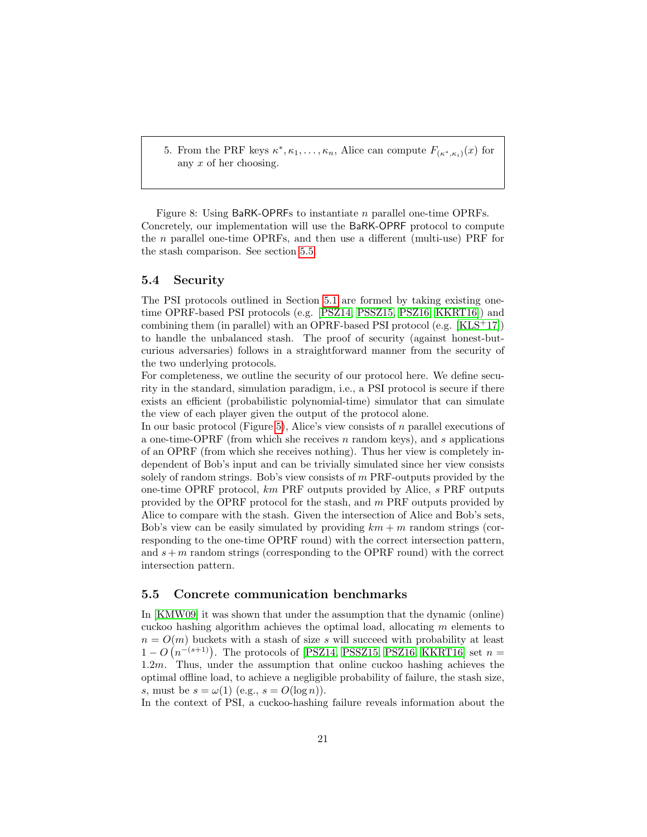5. From the PRF keys  $\kappa^*, \kappa_1, \ldots, \kappa_n$ , Alice can compute  $F_{(\kappa^*, \kappa_i)}(x)$  for any x of her choosing.

Figure 8: Using BaRK-OPRFs to instantiate n parallel one-time OPRFs. Concretely, our implementation will use the BaRK-OPRF protocol to compute the  $n$  parallel one-time OPRFs, and then use a different (multi-use) PRF for the stash comparison. See section [5.5.](#page-20-0)

#### 5.4 Security

The PSI protocols outlined in Section [5.1](#page-14-0) are formed by taking existing onetime OPRF-based PSI protocols (e.g. [\[PSZ14,](#page-28-0) [PSSZ15,](#page-28-1) [PSZ16,](#page-28-5) [KKRT16\]](#page-27-0)) and combining them (in parallel) with an OPRF-based PSI protocol (e.g.  $[KLS<sup>+</sup>17]$  $[KLS<sup>+</sup>17]$ ) to handle the unbalanced stash. The proof of security (against honest-butcurious adversaries) follows in a straightforward manner from the security of the two underlying protocols.

For completeness, we outline the security of our protocol here. We define security in the standard, simulation paradigm, i.e., a PSI protocol is secure if there exists an efficient (probabilistic polynomial-time) simulator that can simulate the view of each player given the output of the protocol alone.

In our basic protocol (Figure [5\)](#page-15-1), Alice's view consists of n parallel executions of a one-time-OPRF (from which she receives n random keys), and s applications of an OPRF (from which she receives nothing). Thus her view is completely independent of Bob's input and can be trivially simulated since her view consists solely of random strings. Bob's view consists of m PRF-outputs provided by the one-time OPRF protocol, km PRF outputs provided by Alice, s PRF outputs provided by the OPRF protocol for the stash, and m PRF outputs provided by Alice to compare with the stash. Given the intersection of Alice and Bob's sets, Bob's view can be easily simulated by providing  $km + m$  random strings (corresponding to the one-time OPRF round) with the correct intersection pattern, and  $s + m$  random strings (corresponding to the OPRF round) with the correct intersection pattern.

#### <span id="page-20-0"></span>5.5 Concrete communication benchmarks

In [\[KMW09\]](#page-27-1) it was shown that under the assumption that the dynamic (online) cuckoo hashing algorithm achieves the optimal load, allocating  $m$  elements to  $n = O(m)$  buckets with a stash of size s will succeed with probability at least  $1 - O(n^{-(s+1)})$ . The protocols of [\[PSZ14,](#page-28-0) [PSSZ15,](#page-28-1) [PSZ16,](#page-28-5) [KKRT16\]](#page-27-0) set  $n =$ 1.2m. Thus, under the assumption that online cuckoo hashing achieves the optimal offline load, to achieve a negligible probability of failure, the stash size, s, must be  $s = \omega(1)$  (e.g.,  $s = O(\log n)$ ).

In the context of PSI, a cuckoo-hashing failure reveals information about the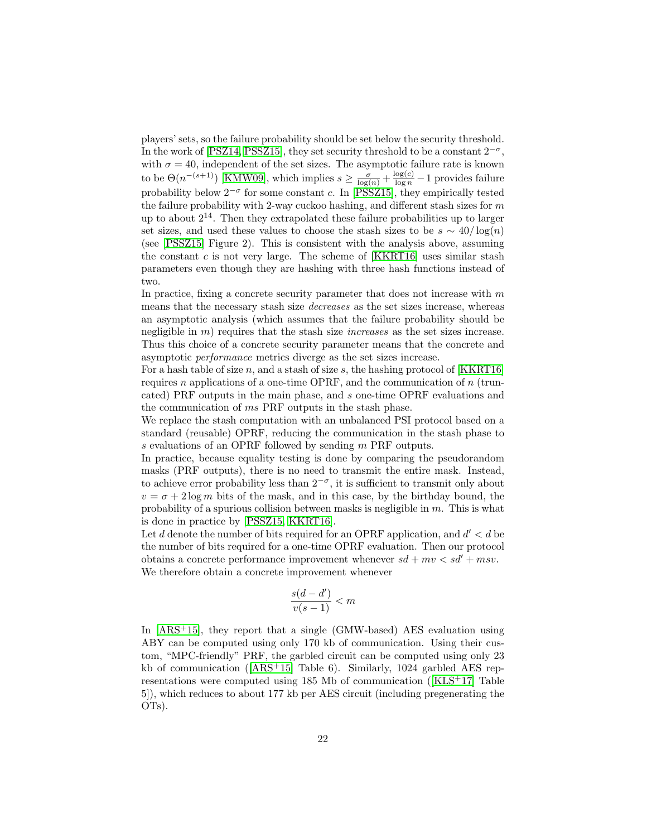players' sets, so the failure probability should be set below the security threshold. In the work of [\[PSZ14,](#page-28-0) [PSSZ15\]](#page-28-1), they set security threshold to be a constant  $2^{-\sigma}$ , with  $\sigma = 40$ , independent of the set sizes. The asymptotic failure rate is known to be  $\Theta(n^{-(s+1)})$  [\[KMW09\]](#page-27-1), which implies  $s \geq \frac{\sigma}{\log(n)} + \frac{\log(c)}{\log n} - 1$  provides failure probability below  $2^{-\sigma}$  for some constant c. In [\[PSSZ15\]](#page-28-1), they empirically tested the failure probability with 2-way cuckoo hashing, and different stash sizes for  $m$ up to about  $2^{14}$ . Then they extrapolated these failure probabilities up to larger set sizes, and used these values to choose the stash sizes to be  $s \sim 40/\log(n)$ (see [\[PSSZ15\]](#page-28-1) Figure 2). This is consistent with the analysis above, assuming the constant  $c$  is not very large. The scheme of  $[KKRT16]$  uses similar stash parameters even though they are hashing with three hash functions instead of two.

In practice, fixing a concrete security parameter that does not increase with  $m$ means that the necessary stash size decreases as the set sizes increase, whereas an asymptotic analysis (which assumes that the failure probability should be negligible in m) requires that the stash size *increases* as the set sizes increase. Thus this choice of a concrete security parameter means that the concrete and asymptotic performance metrics diverge as the set sizes increase.

For a hash table of size n, and a stash of size s, the hashing protocol of  $[KKRT16]$ requires n applications of a one-time OPRF, and the communication of  $n$  (truncated) PRF outputs in the main phase, and s one-time OPRF evaluations and the communication of ms PRF outputs in the stash phase.

We replace the stash computation with an unbalanced PSI protocol based on a standard (reusable) OPRF, reducing the communication in the stash phase to s evaluations of an OPRF followed by sending m PRF outputs.

In practice, because equality testing is done by comparing the pseudorandom masks (PRF outputs), there is no need to transmit the entire mask. Instead, to achieve error probability less than  $2^{-\sigma}$ , it is sufficient to transmit only about  $v = \sigma + 2 \log m$  bits of the mask, and in this case, by the birthday bound, the probability of a spurious collision between masks is negligible in  $m$ . This is what is done in practice by [\[PSSZ15,](#page-28-1) [KKRT16\]](#page-27-0).

Let d denote the number of bits required for an OPRF application, and  $d' < d$  be the number of bits required for a one-time OPRF evaluation. Then our protocol obtains a concrete performance improvement whenever  $sd + mv < sd' + msv$ . We therefore obtain a concrete improvement whenever

$$
\frac{s(d-d')}{v(s-1)} < m
$$

In [\[ARS](#page-24-7)<sup>+</sup>15], they report that a single (GMW-based) AES evaluation using ABY can be computed using only 170 kb of communication. Using their custom, "MPC-friendly" PRF, the garbled circuit can be computed using only 23 kb of communication ([\[ARS](#page-24-7)<sup>+</sup>15] Table 6). Similarly, 1024 garbled AES representations were computed using 185 Mb of communication ([\[KLS](#page-27-2)<sup>+</sup>17] Table 5]), which reduces to about 177 kb per AES circuit (including pregenerating the OTs).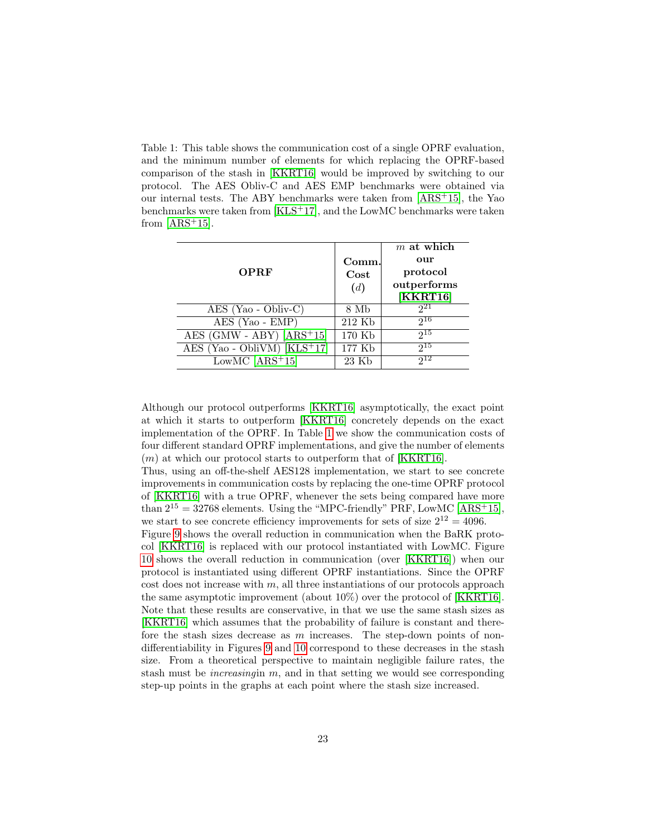<span id="page-22-0"></span>Table 1: This table shows the communication cost of a single OPRF evaluation, and the minimum number of elements for which replacing the OPRF-based comparison of the stash in [\[KKRT16\]](#page-27-0) would be improved by switching to our protocol. The AES Obliv-C and AES EMP benchmarks were obtained via our internal tests. The ABY benchmarks were taken from [\[ARS](#page-24-7)+15], the Yao benchmarks were taken from  $[KLS+17]$  $[KLS+17]$ , and the LowMC benchmarks were taken from  $[ARS<sup>+</sup>15]$  $[ARS<sup>+</sup>15]$ .

|                                                       |         | $m$ at which |
|-------------------------------------------------------|---------|--------------|
|                                                       | Comm.   | our          |
| <b>OPRF</b>                                           | Cost    | protocol     |
|                                                       | (d)     | outperforms  |
|                                                       |         | KKRT16       |
| $AES (Yao - Obliv-C)$                                 | 8 Mb    | $2^{21}$     |
| AES (Yao - EMP)                                       | 212 Kb  | $2^{16}$     |
| $AES (GMW - ABY) [ARS+15]$                            | 170 Kb  | $2^{15}$     |
| $AE\overline{S}$ (Yao - ObliVM) [KLS <sup>+</sup> 17] | 177 Kb  | 215          |
| LowMC $[ARS+15]$                                      | $23$ Kb | $2^{12}$     |

Although our protocol outperforms [\[KKRT16\]](#page-27-0) asymptotically, the exact point at which it starts to outperform [\[KKRT16\]](#page-27-0) concretely depends on the exact implementation of the OPRF. In Table [1](#page-22-0) we show the communication costs of four different standard OPRF implementations, and give the number of elements  $(m)$  at which our protocol starts to outperform that of [\[KKRT16\]](#page-27-0).

Thus, using an off-the-shelf AES128 implementation, we start to see concrete improvements in communication costs by replacing the one-time OPRF protocol of [\[KKRT16\]](#page-27-0) with a true OPRF, whenever the sets being compared have more than  $2^{15} = 32768$  elements. Using the "MPC-friendly" PRF, LowMC [\[ARS](#page-24-7)<sup>+</sup>15], we start to see concrete efficiency improvements for sets of size  $2^{12} = 4096$ .

Figure [9](#page-23-0) shows the overall reduction in communication when the BaRK protocol [\[KKRT16\]](#page-27-0) is replaced with our protocol instantiated with LowMC. Figure [10](#page-23-1) shows the overall reduction in communication (over [\[KKRT16\]](#page-27-0)) when our protocol is instantiated using different OPRF instantiations. Since the OPRF  $\cot$  does not increase with m, all three instantiations of our protocols approach the same asymptotic improvement (about 10%) over the protocol of [\[KKRT16\]](#page-27-0). Note that these results are conservative, in that we use the same stash sizes as [\[KKRT16\]](#page-27-0) which assumes that the probability of failure is constant and therefore the stash sizes decrease as  $m$  increases. The step-down points of nondifferentiability in Figures [9](#page-23-0) and [10](#page-23-1) correspond to these decreases in the stash size. From a theoretical perspective to maintain negligible failure rates, the stash must be increasingin m, and in that setting we would see corresponding step-up points in the graphs at each point where the stash size increased.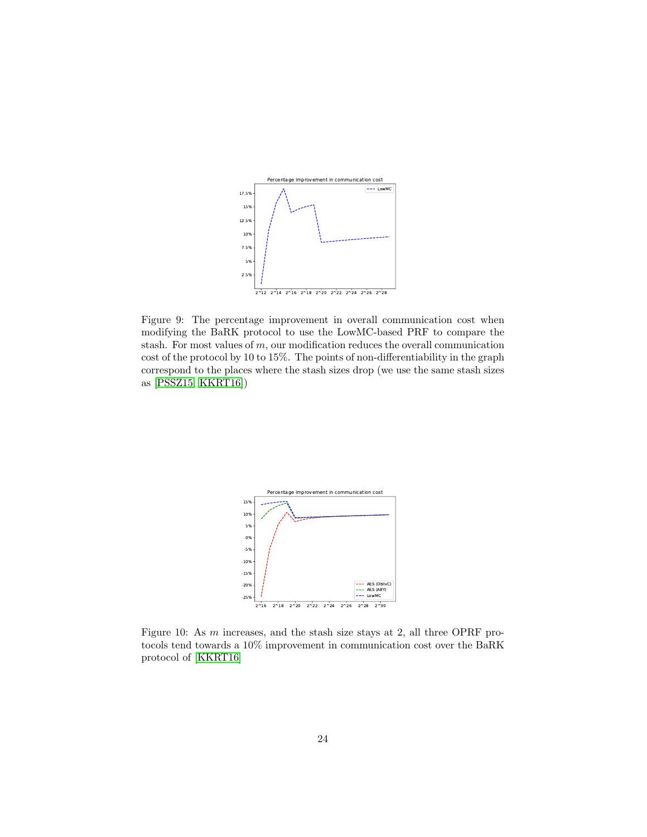<span id="page-23-0"></span>

Figure 9: The percentage improvement in overall communication cost when modifying the BaRK protocol to use the LowMC-based PRF to compare the stash. For most values of  $m$ , our modification reduces the overall communication cost of the protocol by 10 to 15%. The points of non-differentiability in the graph correspond to the places where the stash sizes drop (we use the same stash sizes as [\[PSSZ15,](#page-28-1) [KKRT16\]](#page-27-0))

<span id="page-23-1"></span>

Figure 10: As m increases, and the stash size stays at 2, all three OPRF protocols tend towards a 10% improvement in communication cost over the BaRK protocol of [\[KKRT16\]](#page-27-0)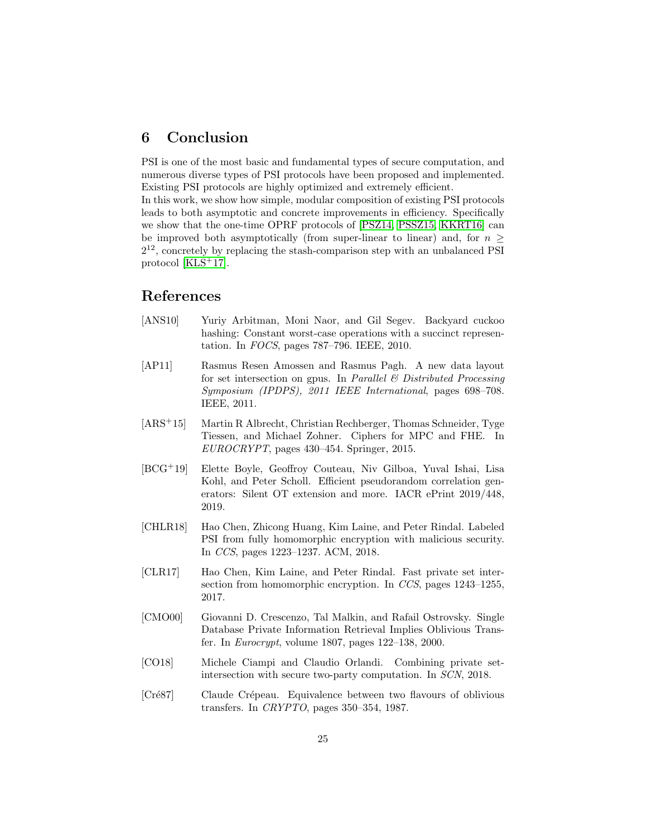## 6 Conclusion

PSI is one of the most basic and fundamental types of secure computation, and numerous diverse types of PSI protocols have been proposed and implemented. Existing PSI protocols are highly optimized and extremely efficient.

In this work, we show how simple, modular composition of existing PSI protocols leads to both asymptotic and concrete improvements in efficiency. Specifically we show that the one-time OPRF protocols of [\[PSZ14,](#page-28-0) [PSSZ15,](#page-28-1) [KKRT16\]](#page-27-0) can be improved both asymptotically (from super-linear to linear) and, for  $n \geq$  $2^{12}$ , concretely by replacing the stash-comparison step with an unbalanced PSI protocol  $[KLS<sup>+</sup>17]$  $[KLS<sup>+</sup>17]$ .

## References

- <span id="page-24-6"></span>[ANS10] Yuriy Arbitman, Moni Naor, and Gil Segev. Backyard cuckoo hashing: Constant worst-case operations with a succinct representation. In FOCS, pages 787–796. IEEE, 2010.
- <span id="page-24-8"></span>[AP11] Rasmus Resen Amossen and Rasmus Pagh. A new data layout for set intersection on gpus. In Parallel  $\mathcal B$  Distributed Processing Symposium (IPDPS), 2011 IEEE International, pages 698–708. IEEE, 2011.
- <span id="page-24-7"></span>[ARS+15] Martin R Albrecht, Christian Rechberger, Thomas Schneider, Tyge Tiessen, and Michael Zohner. Ciphers for MPC and FHE. In EUROCRYPT, pages 430–454. Springer, 2015.
- <span id="page-24-2"></span>[BCG+19] Elette Boyle, Geoffroy Couteau, Niv Gilboa, Yuval Ishai, Lisa Kohl, and Peter Scholl. Efficient pseudorandom correlation generators: Silent OT extension and more. IACR ePrint 2019/448, 2019.
- <span id="page-24-1"></span>[CHLR18] Hao Chen, Zhicong Huang, Kim Laine, and Peter Rindal. Labeled PSI from fully homomorphic encryption with malicious security. In CCS, pages 1223–1237. ACM, 2018.
- <span id="page-24-0"></span>[CLR17] Hao Chen, Kim Laine, and Peter Rindal. Fast private set intersection from homomorphic encryption. In CCS, pages 1243–1255, 2017.
- <span id="page-24-5"></span>[CMO00] Giovanni D. Crescenzo, Tal Malkin, and Rafail Ostrovsky. Single Database Private Information Retrieval Implies Oblivious Transfer. In Eurocrypt, volume 1807, pages 122–138, 2000.
- <span id="page-24-3"></span>[CO18] Michele Ciampi and Claudio Orlandi. Combining private setintersection with secure two-party computation. In SCN, 2018.
- <span id="page-24-4"></span>[Cré87] Claude Crépeau. Equivalence between two flavours of oblivious transfers. In CRYPTO, pages 350–354, 1987.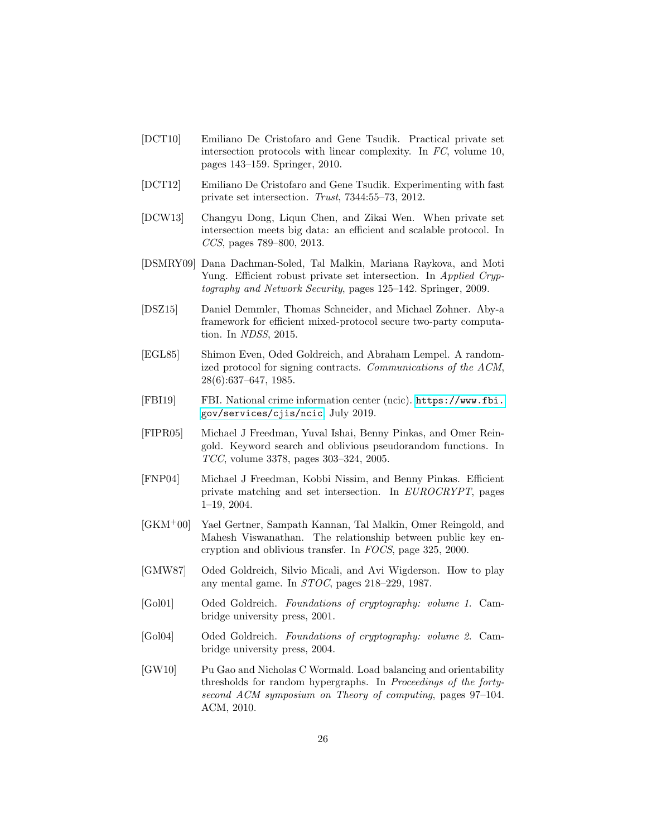- <span id="page-25-3"></span>[DCT10] Emiliano De Cristofaro and Gene Tsudik. Practical private set intersection protocols with linear complexity. In FC, volume 10, pages 143–159. Springer, 2010.
- <span id="page-25-4"></span>[DCT12] Emiliano De Cristofaro and Gene Tsudik. Experimenting with fast private set intersection. Trust, 7344:55–73, 2012.
- <span id="page-25-6"></span>[DCW13] Changyu Dong, Liqun Chen, and Zikai Wen. When private set intersection meets big data: an efficient and scalable protocol. In CCS, pages 789–800, 2013.
- <span id="page-25-2"></span>[DSMRY09] Dana Dachman-Soled, Tal Malkin, Mariana Raykova, and Moti Yung. Efficient robust private set intersection. In *Applied Cryp*tography and Network Security, pages 125–142. Springer, 2009.
- <span id="page-25-12"></span>[DSZ15] Daniel Demmler, Thomas Schneider, and Michael Zohner. Aby-a framework for efficient mixed-protocol secure two-party computation. In NDSS, 2015.
- <span id="page-25-9"></span>[EGL85] Shimon Even, Oded Goldreich, and Abraham Lempel. A randomized protocol for signing contracts. Communications of the ACM, 28(6):637–647, 1985.
- <span id="page-25-0"></span>[FBI19] FBI. National crime information center (ncic). [https://www.fbi.](https://www.fbi.gov/services/cjis/ncic) [gov/services/cjis/ncic](https://www.fbi.gov/services/cjis/ncic), July 2019.
- <span id="page-25-5"></span>[FIPR05] Michael J Freedman, Yuval Ishai, Benny Pinkas, and Omer Reingold. Keyword search and oblivious pseudorandom functions. In TCC, volume 3378, pages 303–324, 2005.
- <span id="page-25-1"></span>[FNP04] Michael J Freedman, Kobbi Nissim, and Benny Pinkas. Efficient private matching and set intersection. In EUROCRYPT, pages 1–19, 2004.
- <span id="page-25-10"></span>[GKM+00] Yael Gertner, Sampath Kannan, Tal Malkin, Omer Reingold, and Mahesh Viswanathan. The relationship between public key encryption and oblivious transfer. In FOCS, page 325, 2000.
- <span id="page-25-13"></span>[GMW87] Oded Goldreich, Silvio Micali, and Avi Wigderson. How to play any mental game. In STOC, pages 218–229, 1987.
- <span id="page-25-7"></span>[Gol01] Oded Goldreich. Foundations of cryptography: volume 1. Cambridge university press, 2001.
- <span id="page-25-8"></span>[Gol04] Oded Goldreich. Foundations of cryptography: volume 2. Cambridge university press, 2004.
- <span id="page-25-11"></span>[GW10] Pu Gao and Nicholas C Wormald. Load balancing and orientability thresholds for random hypergraphs. In Proceedings of the fortysecond ACM symposium on Theory of computing, pages 97–104. ACM, 2010.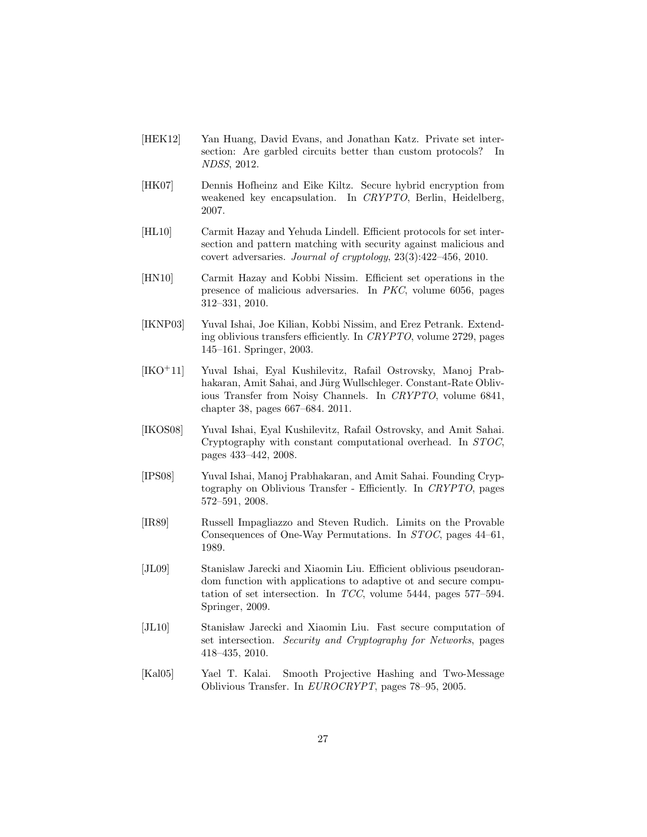- <span id="page-26-4"></span>[HEK12] Yan Huang, David Evans, and Jonathan Katz. Private set intersection: Are garbled circuits better than custom protocols? In NDSS, 2012.
- <span id="page-26-7"></span>[HK07] Dennis Hofheinz and Eike Kiltz. Secure hybrid encryption from weakened key encapsulation. In CRYPTO, Berlin, Heidelberg, 2007.
- <span id="page-26-0"></span>[HL10] Carmit Hazay and Yehuda Lindell. Efficient protocols for set intersection and pattern matching with security against malicious and covert adversaries. Journal of cryptology, 23(3):422–456, 2010.
- <span id="page-26-3"></span>[HN10] Carmit Hazay and Kobbi Nissim. Efficient set operations in the presence of malicious adversaries. In PKC, volume 6056, pages 312–331, 2010.
- <span id="page-26-10"></span>[IKNP03] Yuval Ishai, Joe Kilian, Kobbi Nissim, and Erez Petrank. Extending oblivious transfers efficiently. In CRYPTO, volume 2729, pages 145–161. Springer, 2003.
- <span id="page-26-8"></span>[IKO+11] Yuval Ishai, Eyal Kushilevitz, Rafail Ostrovsky, Manoj Prabhakaran, Amit Sahai, and Jürg Wullschleger. Constant-Rate Oblivious Transfer from Noisy Channels. In CRYPTO, volume 6841, chapter 38, pages 667–684. 2011.
- <span id="page-26-11"></span>[IKOS08] Yuval Ishai, Eyal Kushilevitz, Rafail Ostrovsky, and Amit Sahai. Cryptography with constant computational overhead. In STOC, pages 433–442, 2008.
- <span id="page-26-5"></span>[IPS08] Yuval Ishai, Manoj Prabhakaran, and Amit Sahai. Founding Cryptography on Oblivious Transfer - Efficiently. In CRYPTO, pages 572–591, 2008.
- <span id="page-26-9"></span>[IR89] Russell Impagliazzo and Steven Rudich. Limits on the Provable Consequences of One-Way Permutations. In STOC, pages 44–61, 1989.
- <span id="page-26-1"></span>[JL09] Stanislaw Jarecki and Xiaomin Liu. Efficient oblivious pseudorandom function with applications to adaptive ot and secure computation of set intersection. In TCC, volume 5444, pages 577–594. Springer, 2009.
- <span id="page-26-2"></span>[JL10] Stanisław Jarecki and Xiaomin Liu. Fast secure computation of set intersection. Security and Cryptography for Networks, pages 418–435, 2010.
- <span id="page-26-6"></span>[Kal05] Yael T. Kalai. Smooth Projective Hashing and Two-Message Oblivious Transfer. In EUROCRYPT, pages 78–95, 2005.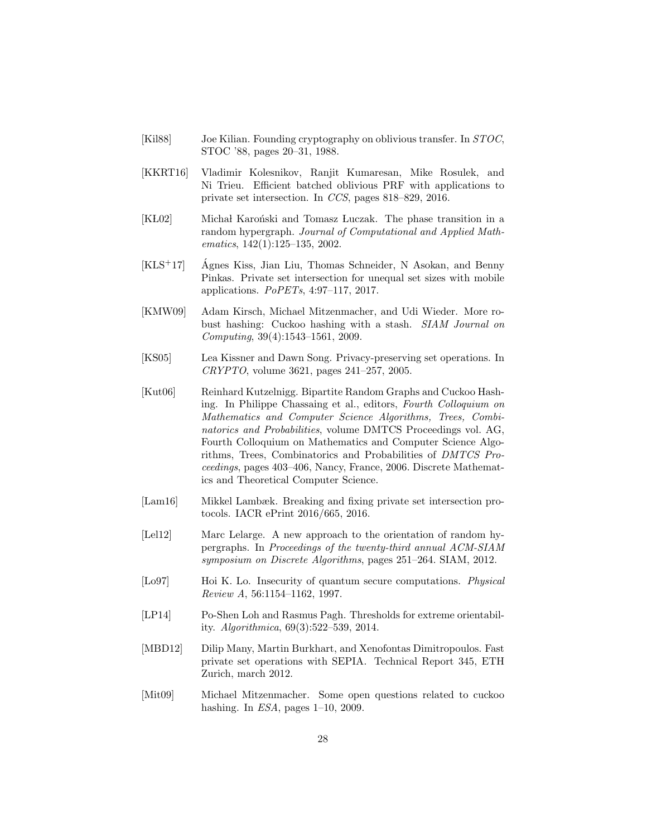- <span id="page-27-5"></span>[Kil88] Joe Kilian. Founding cryptography on oblivious transfer. In STOC, STOC '88, pages 20–31, 1988.
- <span id="page-27-0"></span>[KKRT16] Vladimir Kolesnikov, Ranjit Kumaresan, Mike Rosulek, and Ni Trieu. Efficient batched oblivious PRF with applications to private set intersection. In CCS, pages 818–829, 2016.
- <span id="page-27-10"></span>[KL02] Michał Karoński and Tomasz Luczak. The phase transition in a random hypergraph. Journal of Computational and Applied Mathematics, 142(1):125–135, 2002.
- <span id="page-27-2"></span>[KLS+17] Agnes Kiss, Jian Liu, Thomas Schneider, N Asokan, and Benny ´ Pinkas. Private set intersection for unequal set sizes with mobile applications. PoPETs, 4:97–117, 2017.
- <span id="page-27-1"></span>[KMW09] Adam Kirsch, Michael Mitzenmacher, and Udi Wieder. More robust hashing: Cuckoo hashing with a stash. SIAM Journal on Computing, 39(4):1543–1561, 2009.
- <span id="page-27-3"></span>[KS05] Lea Kissner and Dawn Song. Privacy-preserving set operations. In CRYPTO, volume 3621, pages 241–257, 2005.
- <span id="page-27-7"></span>[Kut06] Reinhard Kutzelnigg. Bipartite Random Graphs and Cuckoo Hashing. In Philippe Chassaing et al., editors, Fourth Colloquium on Mathematics and Computer Science Algorithms, Trees, Combinatorics and Probabilities, volume DMTCS Proceedings vol. AG, Fourth Colloquium on Mathematics and Computer Science Algorithms, Trees, Combinatorics and Probabilities of DMTCS Proceedings, pages 403–406, Nancy, France, 2006. Discrete Mathematics and Theoretical Computer Science.
- <span id="page-27-9"></span>[Lam16] Mikkel Lambæk. Breaking and fixing private set intersection protocols. IACR ePrint 2016/665, 2016.
- <span id="page-27-11"></span>[Lel12] Marc Lelarge. A new approach to the orientation of random hypergraphs. In Proceedings of the twenty-third annual ACM-SIAM symposium on Discrete Algorithms, pages 251–264. SIAM, 2012.
- <span id="page-27-6"></span>[Lo97] Hoi K. Lo. Insecurity of quantum secure computations. *Physical* Review A, 56:1154–1162, 1997.
- <span id="page-27-12"></span>[LP14] Po-Shen Loh and Rasmus Pagh. Thresholds for extreme orientability. Algorithmica, 69(3):522–539, 2014.
- <span id="page-27-4"></span>[MBD12] Dilip Many, Martin Burkhart, and Xenofontas Dimitropoulos. Fast private set operations with SEPIA. Technical Report 345, ETH Zurich, march 2012.
- <span id="page-27-8"></span>[Mit09] Michael Mitzenmacher. Some open questions related to cuckoo hashing. In  $ESA$ , pages  $1-10$ , 2009.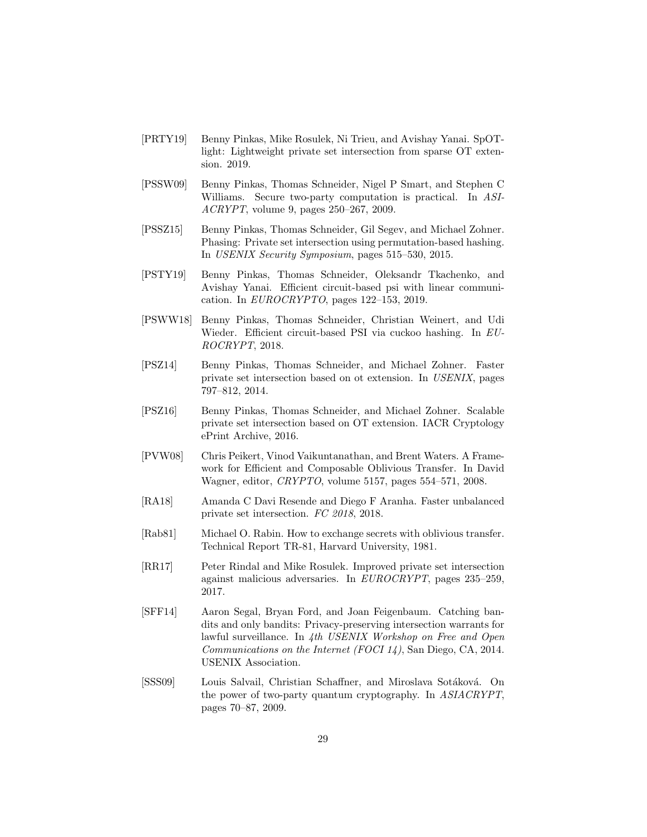- <span id="page-28-6"></span>[PRTY19] Benny Pinkas, Mike Rosulek, Ni Trieu, and Avishay Yanai. SpOTlight: Lightweight private set intersection from sparse OT extension. 2019.
- <span id="page-28-4"></span>[PSSW09] Benny Pinkas, Thomas Schneider, Nigel P Smart, and Stephen C Williams. Secure two-party computation is practical. In ASI-ACRYPT, volume 9, pages 250–267, 2009.
- <span id="page-28-1"></span>[PSSZ15] Benny Pinkas, Thomas Schneider, Gil Segev, and Michael Zohner. Phasing: Private set intersection using permutation-based hashing. In USENIX Security Symposium, pages 515–530, 2015.
- <span id="page-28-9"></span>[PSTY19] Benny Pinkas, Thomas Schneider, Oleksandr Tkachenko, and Avishay Yanai. Efficient circuit-based psi with linear communication. In  $EUROCRYPTO$ , pages 122–153, 2019.
- <span id="page-28-8"></span>[PSWW18] Benny Pinkas, Thomas Schneider, Christian Weinert, and Udi Wieder. Efficient circuit-based PSI via cuckoo hashing. In EU-ROCRYPT, 2018.
- <span id="page-28-0"></span>[PSZ14] Benny Pinkas, Thomas Schneider, and Michael Zohner. Faster private set intersection based on ot extension. In USENIX, pages 797–812, 2014.
- <span id="page-28-5"></span>[PSZ16] Benny Pinkas, Thomas Schneider, and Michael Zohner. Scalable private set intersection based on OT extension. IACR Cryptology ePrint Archive, 2016.
- <span id="page-28-11"></span>[PVW08] Chris Peikert, Vinod Vaikuntanathan, and Brent Waters. A Framework for Efficient and Composable Oblivious Transfer. In David Wagner, editor, CRYPTO, volume 5157, pages 554–571, 2008.
- <span id="page-28-2"></span>[RA18] Amanda C Davi Resende and Diego F Aranha. Faster unbalanced private set intersection. FC 2018, 2018.
- <span id="page-28-10"></span>[Rab81] Michael O. Rabin. How to exchange secrets with oblivious transfer. Technical Report TR-81, Harvard University, 1981.
- <span id="page-28-7"></span>[RR17] Peter Rindal and Mike Rosulek. Improved private set intersection against malicious adversaries. In EUROCRYPT, pages 235–259, 2017.
- <span id="page-28-3"></span>[SFF14] Aaron Segal, Bryan Ford, and Joan Feigenbaum. Catching bandits and only bandits: Privacy-preserving intersection warrants for lawful surveillance. In 4th USENIX Workshop on Free and Open Communications on the Internet (FOCI 14), San Diego, CA, 2014. USENIX Association.
- <span id="page-28-12"></span>[SSS09] Louis Salvail, Christian Schaffner, and Miroslava Sotáková. On the power of two-party quantum cryptography. In ASIACRYPT, pages 70–87, 2009.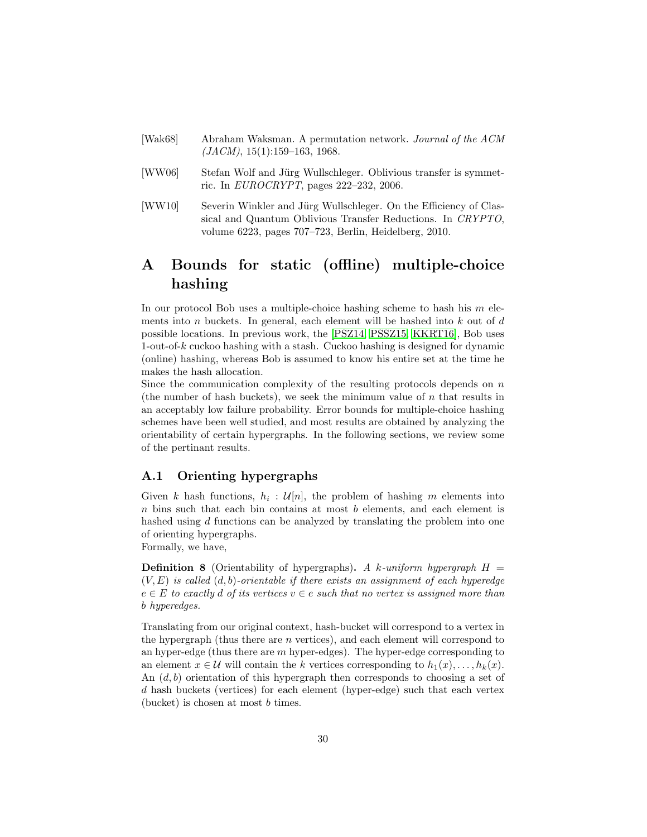- <span id="page-29-0"></span>[Wak68] Abraham Waksman. A permutation network. Journal of the ACM  $(JACM)$ , 15(1):159–163, 1968.
- <span id="page-29-1"></span>[WW06] Stefan Wolf and Jürg Wullschleger. Oblivious transfer is symmetric. In EUROCRYPT, pages 222–232, 2006.
- <span id="page-29-2"></span>[WW10] Severin Winkler and Jürg Wullschleger. On the Efficiency of Classical and Quantum Oblivious Transfer Reductions. In CRYPTO, volume 6223, pages 707–723, Berlin, Heidelberg, 2010.

## A Bounds for static (offline) multiple-choice hashing

In our protocol Bob uses a multiple-choice hashing scheme to hash his  $m$  elements into n buckets. In general, each element will be hashed into  $k$  out of  $d$ possible locations. In previous work, the [\[PSZ14,](#page-28-0) [PSSZ15,](#page-28-1) [KKRT16\]](#page-27-0), Bob uses 1-out-of-k cuckoo hashing with a stash. Cuckoo hashing is designed for dynamic (online) hashing, whereas Bob is assumed to know his entire set at the time he makes the hash allocation.

Since the communication complexity of the resulting protocols depends on  $n$ (the number of hash buckets), we seek the minimum value of  $n$  that results in an acceptably low failure probability. Error bounds for multiple-choice hashing schemes have been well studied, and most results are obtained by analyzing the orientability of certain hypergraphs. In the following sections, we review some of the pertinant results.

#### A.1 Orienting hypergraphs

Given k hash functions,  $h_i$ :  $\mathcal{U}[n]$ , the problem of hashing m elements into n bins such that each bin contains at most b elements, and each element is hashed using d functions can be analyzed by translating the problem into one of orienting hypergraphs.

Formally, we have,

**Definition 8** (Orientability of hypergraphs). A k-uniform hypergraph  $H =$  $(V, E)$  is called  $(d, b)$ -orientable if there exists an assignment of each hyperedge  $e \in E$  to exactly d of its vertices  $v \in e$  such that no vertex is assigned more than b hyperedges.

Translating from our original context, hash-bucket will correspond to a vertex in the hypergraph (thus there are n vertices), and each element will correspond to an hyper-edge (thus there are  $m$  hyper-edges). The hyper-edge corresponding to an element  $x \in \mathcal{U}$  will contain the k vertices corresponding to  $h_1(x), \ldots, h_k(x)$ . An  $(d, b)$  orientation of this hypergraph then corresponds to choosing a set of d hash buckets (vertices) for each element (hyper-edge) such that each vertex (bucket) is chosen at most b times.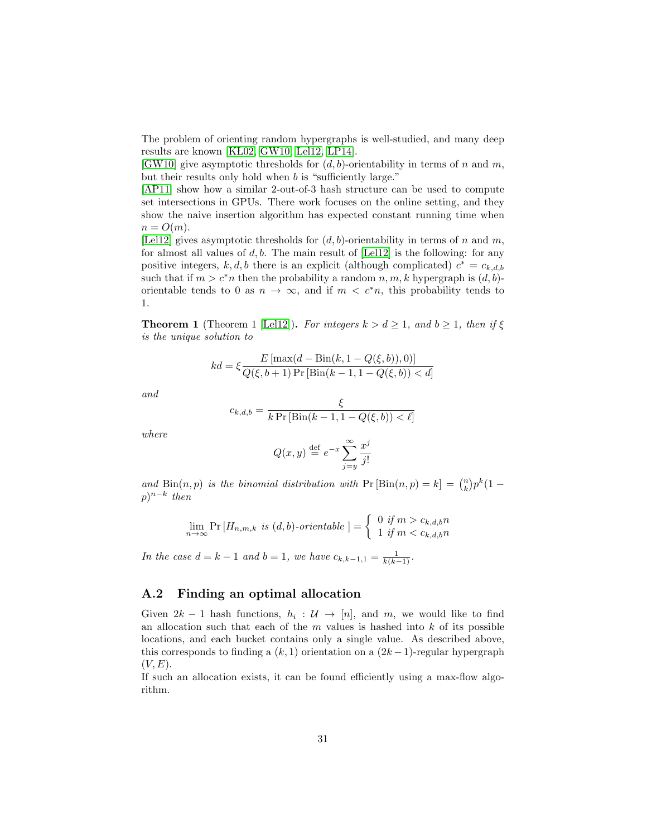The problem of orienting random hypergraphs is well-studied, and many deep results are known [KL02, [GW10,](#page-25-11) [Lel12,](#page-27-11) [LP14\]](#page-27-12).

[\[GW10\]](#page-25-11) give asymptotic thresholds for  $(d, b)$ -orientability in terms of n and m, but their results only hold when b is "sufficiently large."

[\[AP11\]](#page-24-8) show how a similar 2-out-of-3 hash structure can be used to compute set intersections in GPUs. There work focuses on the online setting, and they show the naive insertion algorithm has expected constant running time when  $n = O(m)$ .

[\[Lel12\]](#page-27-11) gives asymptotic thresholds for  $(d, b)$ -orientability in terms of n and m, for almost all values of  $d, b$ . The main result of [\[Lel12\]](#page-27-11) is the following: for any positive integers, k, d, b there is an explicit (although complicated)  $c^* = c_{k,d,b}$ such that if  $m > c^*n$  then the probability a random  $n, m, k$  hypergraph is  $(d, b)$ orientable tends to 0 as  $n \to \infty$ , and if  $m < c^*n$ , this probability tends to 1.

**Theorem 1** (Theorem 1 [\[Lel12\]](#page-27-11)). For integers  $k > d \ge 1$ , and  $b \ge 1$ , then if  $\xi$ is the unique solution to

$$
kd = \xi \frac{E\left[\max(d - \text{Bin}(k, 1 - Q(\xi, b)), 0)\right]}{Q(\xi, b + 1)\Pr\left[\text{Bin}(k - 1, 1 - Q(\xi, b)) < d\right]}
$$

and

$$
c_{k,d,b} = \frac{\xi}{k \Pr[\text{Bin}(k-1, 1 - Q(\xi, b)) < \ell]}
$$

where

$$
Q(x, y) \stackrel{\text{def}}{=} e^{-x} \sum_{j=y}^{\infty} \frac{x^j}{j!}
$$

and Bin $(n, p)$  is the binomial distribution with Pr  $[\text{Bin}(n, p) = k] = {n \choose k} p^k (1 (p)^{n-k}$  then

$$
\lim_{n \to \infty} \Pr\left[H_{n,m,k} \text{ is } (d,b)\text{-orientable}\right] = \begin{cases} 0 \text{ if } m > c_{k,d,b}n \\ 1 \text{ if } m < c_{k,d,b}n \end{cases}
$$

In the case  $d = k - 1$  and  $b = 1$ , we have  $c_{k,k-1,1} = \frac{1}{k(k-1)}$ .

#### A.2 Finding an optimal allocation

Given  $2k-1$  hash functions,  $h_i: U \to [n]$ , and m, we would like to find an allocation such that each of the  $m$  values is hashed into  $k$  of its possible locations, and each bucket contains only a single value. As described above, this corresponds to finding a  $(k, 1)$  orientation on a  $(2k-1)$ -regular hypergraph  $(V, E)$ .

If such an allocation exists, it can be found efficiently using a max-flow algorithm.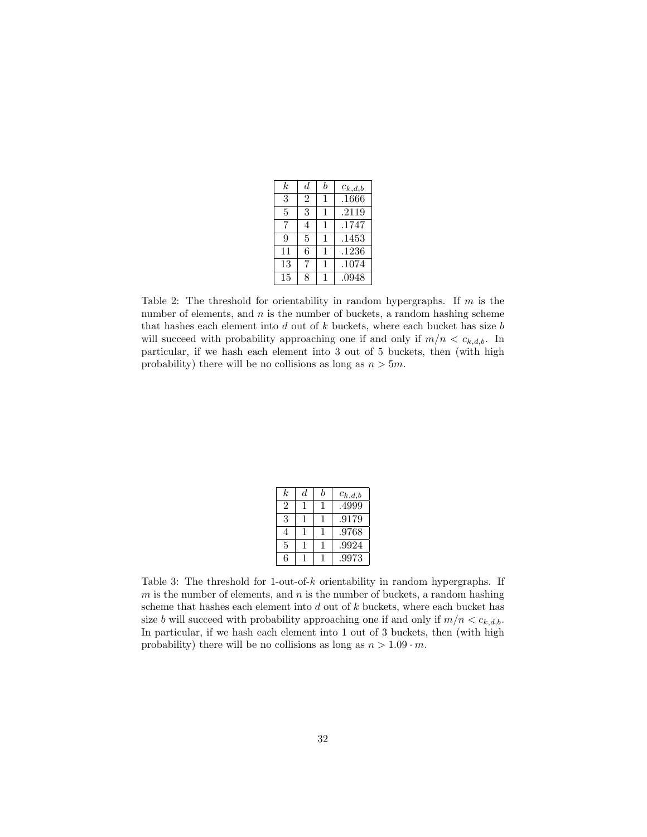| k  | d.             | h | $c_{k,d,b}$ |
|----|----------------|---|-------------|
| 3  | $\overline{2}$ | 1 | .1666       |
| 5  | 3              | 1 | .2119       |
| 7  | 4              | 1 | .1747       |
| 9  | 5              | 1 | .1453       |
| 11 | 6              | 1 | .1236       |
| 13 | 7              | 1 | .1074       |
| 15 | 8              |   | .0948       |

Table 2: The threshold for orientability in random hypergraphs. If  $m$  is the number of elements, and  $n$  is the number of buckets, a random hashing scheme that hashes each element into  $d$  out of  $k$  buckets, where each bucket has size  $b$ will succeed with probability approaching one if and only if  $m/n < c_{k,d,b}$ . In particular, if we hash each element into 3 out of 5 buckets, then (with high probability) there will be no collisions as long as  $n > 5m$ .

| k              | d. | h | $c_{k,d,b}$ |
|----------------|----|---|-------------|
| $\overline{2}$ |    |   | .4999       |
| 3              |    |   | .9179       |
|                |    |   | .9768       |
| 5              |    |   | .9924       |
| 6              |    |   | .9973       |

Table 3: The threshold for 1-out-of- $k$  orientability in random hypergraphs. If  $m$  is the number of elements, and  $n$  is the number of buckets, a random hashing scheme that hashes each element into  $d$  out of  $k$  buckets, where each bucket has size b will succeed with probability approaching one if and only if  $m/n < c_{k,d,b}$ . In particular, if we hash each element into 1 out of 3 buckets, then (with high probability) there will be no collisions as long as  $n > 1.09 \cdot m$ .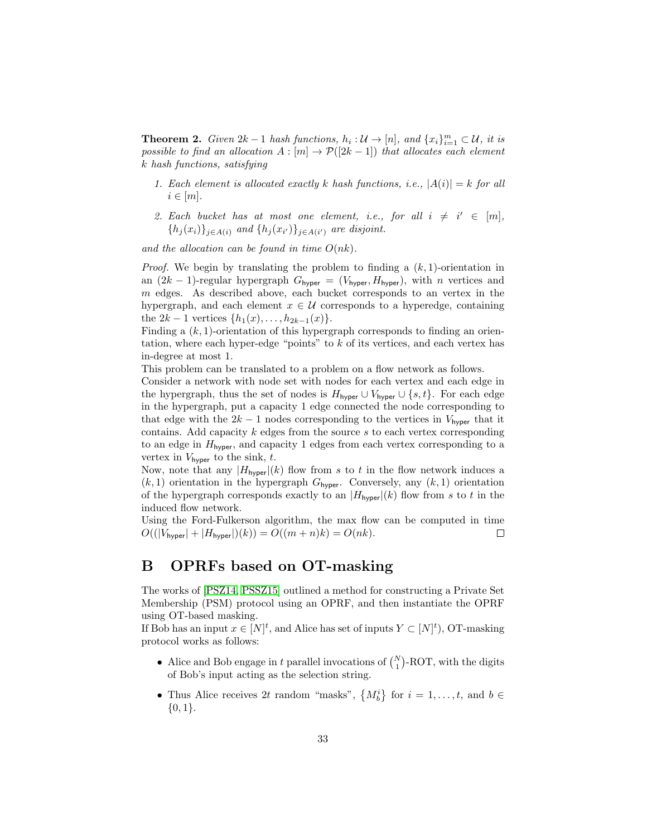**Theorem 2.** Given  $2k-1$  hash functions,  $h_i: \mathcal{U} \to [n]$ , and  $\{x_i\}_{i=1}^m \subset \mathcal{U}$ , it is possible to find an allocation  $A : [m] \to \mathcal{P}([2k-1])$  that allocates each element k hash functions, satisfying

- 1. Each element is allocated exactly k hash functions, i.e.,  $|A(i)| = k$  for all  $i \in [m]$ .
- 2. Each bucket has at most one element, i.e., for all  $i \neq i' \in [m]$ ,  $\{h_j(x_i)\}_{j\in A(i)}$  and  $\{h_j(x_{i'})\}_{j\in A(i')}$  are disjoint.

and the allocation can be found in time  $O(nk)$ .

*Proof.* We begin by translating the problem to finding a  $(k, 1)$ -orientation in an  $(2k-1)$ -regular hypergraph  $G<sub>hyper</sub> = (V<sub>hyper</sub>, H<sub>hyper</sub>)$ , with *n* vertices and  $m$  edges. As described above, each bucket corresponds to an vertex in the hypergraph, and each element  $x \in \mathcal{U}$  corresponds to a hyperedge, containing the  $2k - 1$  vertices  $\{h_1(x), \ldots, h_{2k-1}(x)\}.$ 

Finding a  $(k, 1)$ -orientation of this hypergraph corresponds to finding an orientation, where each hyper-edge "points" to k of its vertices, and each vertex has in-degree at most 1.

This problem can be translated to a problem on a flow network as follows.

Consider a network with node set with nodes for each vertex and each edge in the hypergraph, thus the set of nodes is  $H_{\text{hyper}} \cup V_{\text{hyper}} \cup \{s, t\}$ . For each edge in the hypergraph, put a capacity 1 edge connected the node corresponding to that edge with the  $2k-1$  nodes corresponding to the vertices in  $V_{\text{hyper}}$  that it contains. Add capacity k edges from the source s to each vertex corresponding to an edge in  $H_{\text{hyper}}$ , and capacity 1 edges from each vertex corresponding to a vertex in  $V_{\text{hyper}}$  to the sink, t.

Now, note that any  $|H_{\text{hyper}}|(k)$  flow from s to t in the flow network induces a  $(k, 1)$  orientation in the hypergraph  $G<sub>hyper</sub>$ . Conversely, any  $(k, 1)$  orientation of the hypergraph corresponds exactly to an  $|H_{\text{hyper}}|(k)$  flow from s to t in the induced flow network.

Using the Ford-Fulkerson algorithm, the max flow can be computed in time  $O((|V_{\text{hyper}}| + |H_{\text{hyper}}|)(k)) = O((m+n)k) = O(nk).$  $\Box$ 

### B OPRFs based on OT-masking

The works of [\[PSZ14,](#page-28-0) [PSSZ15\]](#page-28-1) outlined a method for constructing a Private Set Membership (PSM) protocol using an OPRF, and then instantiate the OPRF using OT-based masking.

If Bob has an input  $x \in [N]^t$ , and Alice has set of inputs  $Y \subset [N]^t$ , OT-masking protocol works as follows:

- Alice and Bob engage in t parallel invocations of  $\binom{N}{1}$ -ROT, with the digits of Bob's input acting as the selection string.
- Thus Alice receives 2t random "masks",  $\{M_b^i\}$  for  $i = 1, \ldots, t$ , and  $b \in \mathbb{R}$  $\{0,1\}.$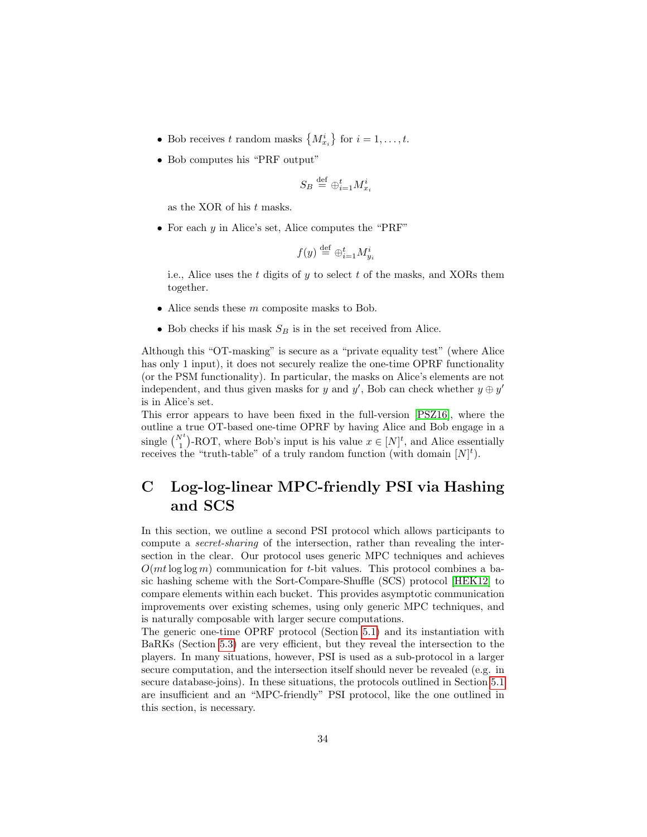- Bob receives t random masks  $\{M_{x_i}^i\}$  for  $i = 1, \ldots, t$ .
- Bob computes his "PRF output"

$$
S_B\stackrel{\rm def}{=}\oplus_{i=1}^t M_{x_i}^i
$$

as the XOR of his t masks.

• For each  $y$  in Alice's set, Alice computes the "PRF"

$$
f(y) \stackrel{\text{def}}{=} \bigoplus_{i=1}^t M_{y_i}^i
$$

i.e., Alice uses the t digits of y to select t of the masks, and XORs them together.

- Alice sends these  $m$  composite masks to Bob.
- Bob checks if his mask  $S_B$  is in the set received from Alice.

Although this "OT-masking" is secure as a "private equality test" (where Alice has only 1 input), it does not securely realize the one-time OPRF functionality (or the PSM functionality). In particular, the masks on Alice's elements are not independent, and thus given masks for y and y', Bob can check whether  $y \oplus y'$ is in Alice's set.

This error appears to have been fixed in the full-version [\[PSZ16\]](#page-28-5), where the outline a true OT-based one-time OPRF by having Alice and Bob engage in a single  $\binom{N^t}{1}$ -ROT, where Bob's input is his value  $x \in [N]^t$ , and Alice essentially receives the "truth-table" of a truly random function (with domain  $[N]^t$ ).

## C Log-log-linear MPC-friendly PSI via Hashing and SCS

In this section, we outline a second PSI protocol which allows participants to compute a secret-sharing of the intersection, rather than revealing the intersection in the clear. Our protocol uses generic MPC techniques and achieves  $O(mt \log \log m)$  communication for t-bit values. This protocol combines a basic hashing scheme with the Sort-Compare-Shuffle (SCS) protocol [\[HEK12\]](#page-26-4) to compare elements within each bucket. This provides asymptotic communication improvements over existing schemes, using only generic MPC techniques, and is naturally composable with larger secure computations.

The generic one-time OPRF protocol (Section [5.1\)](#page-14-0) and its instantiation with BaRKs (Section [5.3\)](#page-16-1) are very efficient, but they reveal the intersection to the players. In many situations, however, PSI is used as a sub-protocol in a larger secure computation, and the intersection itself should never be revealed (e.g. in secure database-joins). In these situations, the protocols outlined in Section [5.1](#page-14-0) are insufficient and an "MPC-friendly" PSI protocol, like the one outlined in this section, is necessary.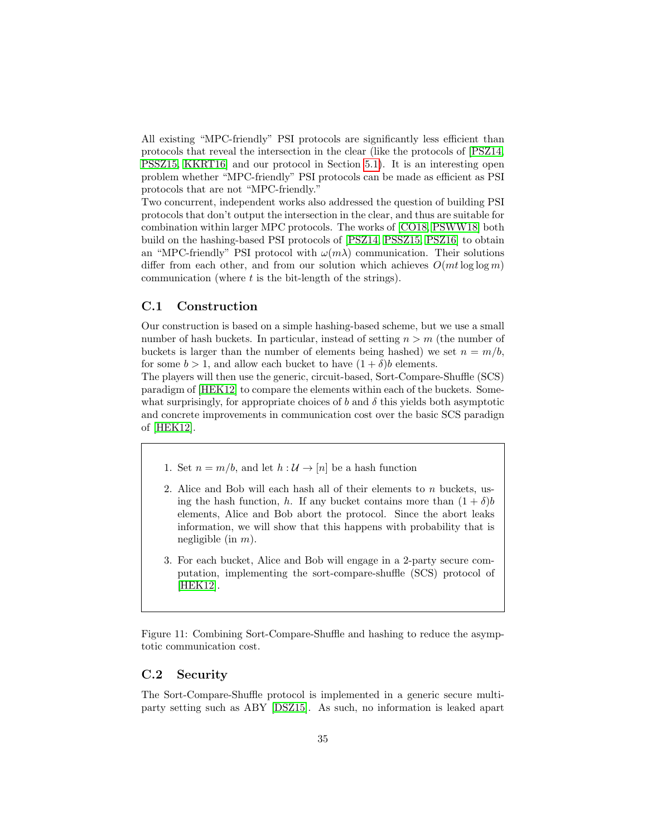All existing "MPC-friendly" PSI protocols are significantly less efficient than protocols that reveal the intersection in the clear (like the protocols of [\[PSZ14,](#page-28-0) [PSSZ15,](#page-28-1) [KKRT16\]](#page-27-0) and our protocol in Section [5.1\)](#page-14-0). It is an interesting open problem whether "MPC-friendly" PSI protocols can be made as efficient as PSI protocols that are not "MPC-friendly."

Two concurrent, independent works also addressed the question of building PSI protocols that don't output the intersection in the clear, and thus are suitable for combination within larger MPC protocols. The works of [\[CO18,](#page-24-3) [PSWW18\]](#page-28-8) both build on the hashing-based PSI protocols of [\[PSZ14,](#page-28-0) [PSSZ15,](#page-28-1) [PSZ16\]](#page-28-5) to obtain an "MPC-friendly" PSI protocol with  $\omega(m\lambda)$  communication. Their solutions differ from each other, and from our solution which achieves  $O(mt \log \log m)$ communication (where  $t$  is the bit-length of the strings).

#### C.1 Construction

Our construction is based on a simple hashing-based scheme, but we use a small number of hash buckets. In particular, instead of setting  $n > m$  (the number of buckets is larger than the number of elements being hashed) we set  $n = m/b$ , for some  $b > 1$ , and allow each bucket to have  $(1 + \delta)b$  elements.

The players will then use the generic, circuit-based, Sort-Compare-Shuffle (SCS) paradigm of [\[HEK12\]](#page-26-4) to compare the elements within each of the buckets. Somewhat surprisingly, for appropriate choices of b and  $\delta$  this yields both asymptotic and concrete improvements in communication cost over the basic SCS paradign of [\[HEK12\]](#page-26-4).

- 1. Set  $n = m/b$ , and let  $h : U \rightarrow [n]$  be a hash function
- 2. Alice and Bob will each hash all of their elements to  $n$  buckets, using the hash function, h. If any bucket contains more than  $(1 + \delta)b$ elements, Alice and Bob abort the protocol. Since the abort leaks information, we will show that this happens with probability that is negligible (in  $m$ ).
- 3. For each bucket, Alice and Bob will engage in a 2-party secure computation, implementing the sort-compare-shuffle (SCS) protocol of [\[HEK12\]](#page-26-4).

<span id="page-34-0"></span>Figure 11: Combining Sort-Compare-Shuffle and hashing to reduce the asymptotic communication cost.

#### C.2 Security

The Sort-Compare-Shuffle protocol is implemented in a generic secure multiparty setting such as ABY [\[DSZ15\]](#page-25-12). As such, no information is leaked apart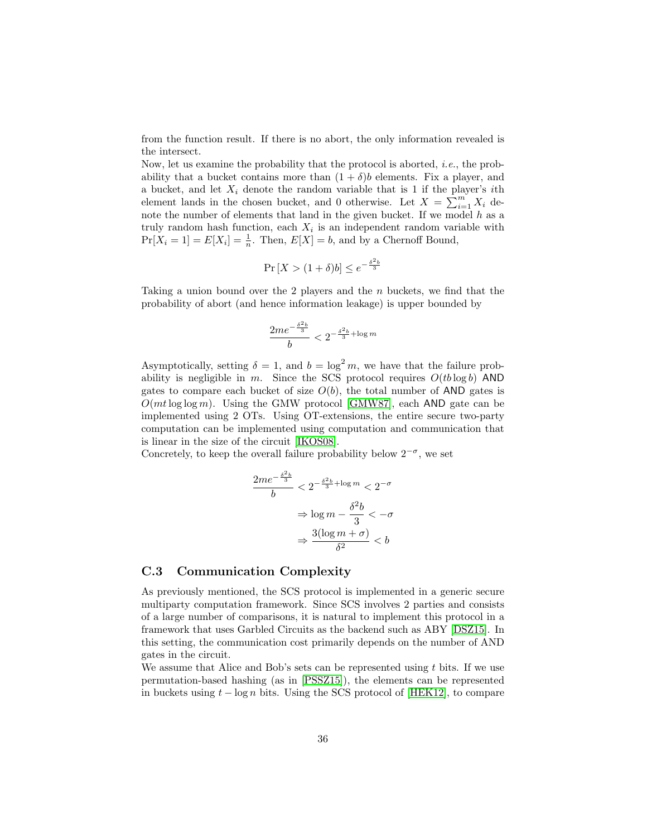from the function result. If there is no abort, the only information revealed is the intersect.

Now, let us examine the probability that the protocol is aborted, i.e., the probability that a bucket contains more than  $(1 + \delta)b$  elements. Fix a player, and a bucket, and let  $X_i$  denote the random variable that is 1 if the player's *i*th element lands in the chosen bucket, and 0 otherwise. Let  $X = \sum_{i=1}^{m} X_i$  denote the number of elements that land in the given bucket. If we model  $h$  as a truly random hash function, each  $X_i$  is an independent random variable with  $Pr[X_i = 1] = E[X_i] = \frac{1}{n}$ . Then,  $E[X] = b$ , and by a Chernoff Bound,

$$
\Pr\left[X > (1+\delta)b\right] \le e^{-\frac{\delta^2 b}{3}}
$$

Taking a union bound over the 2 players and the n buckets, we find that the probability of abort (and hence information leakage) is upper bounded by

$$
\frac{2me^{-\frac{\delta^2b}{3}}}{b} < 2^{-\frac{\delta^2b}{3} + \log m}
$$

Asymptotically, setting  $\delta = 1$ , and  $b = \log^2 m$ , we have that the failure probability is negligible in m. Since the SCS protocol requires  $O(tb \log b)$  AND gates to compare each bucket of size  $O(b)$ , the total number of AND gates is  $O(mt \log \log m)$ . Using the GMW protocol [\[GMW87\]](#page-25-13), each AND gate can be implemented using 2 OTs. Using OT-extensions, the entire secure two-party computation can be implemented using computation and communication that is linear in the size of the circuit [\[IKOS08\]](#page-26-11).

Concretely, to keep the overall failure probability below  $2^{-\sigma}$ , we set

$$
\frac{2me^{-\frac{\delta^2b}{3}}}{b} < 2^{-\frac{\delta^2b}{3} + \log m} < 2^{-\sigma}
$$

$$
\Rightarrow \log m - \frac{\delta^2b}{3} < -\sigma
$$

$$
\Rightarrow \frac{3(\log m + \sigma)}{\delta^2} < b
$$

#### C.3 Communication Complexity

As previously mentioned, the SCS protocol is implemented in a generic secure multiparty computation framework. Since SCS involves 2 parties and consists of a large number of comparisons, it is natural to implement this protocol in a framework that uses Garbled Circuits as the backend such as ABY [\[DSZ15\]](#page-25-12). In this setting, the communication cost primarily depends on the number of AND gates in the circuit.

We assume that Alice and Bob's sets can be represented using  $t$  bits. If we use permutation-based hashing (as in [\[PSSZ15\]](#page-28-1)), the elements can be represented in buckets using  $t - \log n$  bits. Using the SCS protocol of [\[HEK12\]](#page-26-4), to compare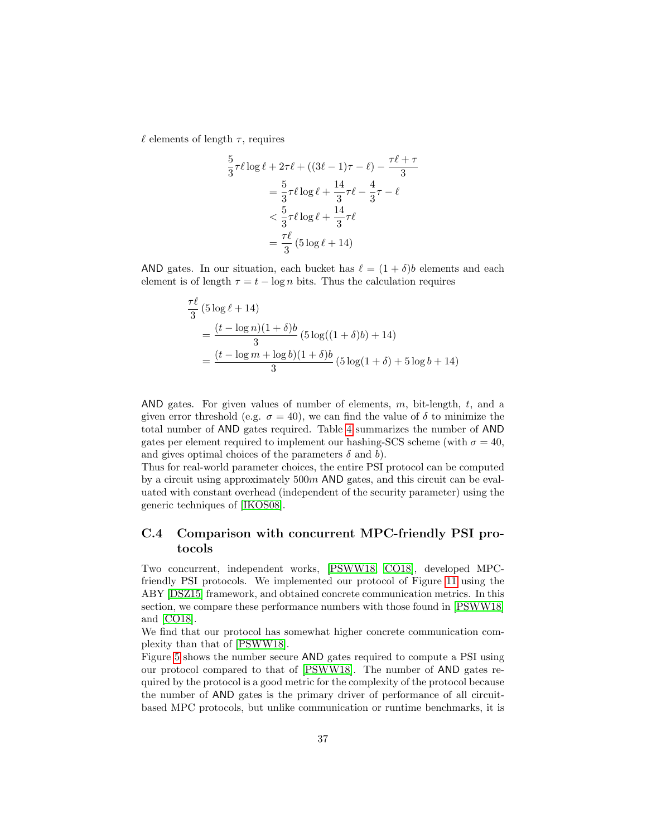$\ell$  elements of length  $\tau$ , requires

$$
\frac{5}{3}\tau\ell\log\ell + 2\tau\ell + \left((3\ell - 1)\tau - \ell\right) - \frac{\tau\ell + \tau}{3}
$$

$$
= \frac{5}{3}\tau\ell\log\ell + \frac{14}{3}\tau\ell - \frac{4}{3}\tau - \ell
$$

$$
< \frac{5}{3}\tau\ell\log\ell + \frac{14}{3}\tau\ell
$$

$$
= \frac{\tau\ell}{3}\left(5\log\ell + 14\right)
$$

AND gates. In our situation, each bucket has  $\ell = (1 + \delta)b$  elements and each element is of length  $\tau = t - \log n$  bits. Thus the calculation requires

$$
\frac{\tau \ell}{3} (5 \log \ell + 14)
$$
  
= 
$$
\frac{(t - \log n)(1 + \delta)b}{3} (5 \log((1 + \delta)b) + 14)
$$
  
= 
$$
\frac{(t - \log m + \log b)(1 + \delta)b}{3} (5 \log(1 + \delta) + 5 \log b + 14)
$$

AND gates. For given values of number of elements, m, bit-length, t, and a given error threshold (e.g.  $\sigma = 40$ ), we can find the value of  $\delta$  to minimize the total number of AND gates required. Table [4](#page-37-0) summarizes the number of AND gates per element required to implement our hashing-SCS scheme (with  $\sigma = 40$ , and gives optimal choices of the parameters  $\delta$  and b).

Thus for real-world parameter choices, the entire PSI protocol can be computed by a circuit using approximately 500m AND gates, and this circuit can be evaluated with constant overhead (independent of the security parameter) using the generic techniques of [\[IKOS08\]](#page-26-11).

### C.4 Comparison with concurrent MPC-friendly PSI protocols

Two concurrent, independent works, [\[PSWW18,](#page-28-8) [CO18\]](#page-24-3), developed MPCfriendly PSI protocols. We implemented our protocol of Figure [11](#page-34-0) using the ABY [\[DSZ15\]](#page-25-12) framework, and obtained concrete communication metrics. In this section, we compare these performance numbers with those found in [\[PSWW18\]](#page-28-8) and [\[CO18\]](#page-24-3).

We find that our protocol has somewhat higher concrete communication complexity than that of [\[PSWW18\]](#page-28-8).

Figure [5](#page-38-0) shows the number secure AND gates required to compute a PSI using our protocol compared to that of [\[PSWW18\]](#page-28-8). The number of AND gates required by the protocol is a good metric for the complexity of the protocol because the number of AND gates is the primary driver of performance of all circuitbased MPC protocols, but unlike communication or runtime benchmarks, it is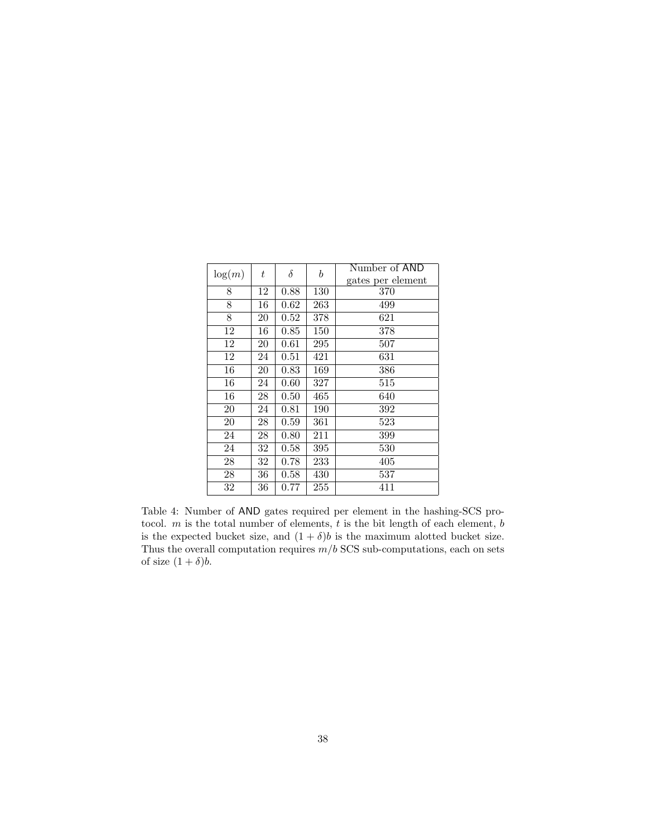<span id="page-37-0"></span>

| log(m) | t  | $\delta$ | $\boldsymbol{b}$ | Number of AND     |
|--------|----|----------|------------------|-------------------|
|        |    |          |                  | gates per element |
| 8      | 12 | 0.88     | 130              | 370               |
| 8      | 16 | 0.62     | 263              | 499               |
| 8      | 20 | $0.52\,$ | 378              | 621               |
| 12     | 16 | 0.85     | 150              | 378               |
| 12     | 20 | 0.61     | 295              | 507               |
| 12     | 24 | 0.51     | 421              | 631               |
| 16     | 20 | 0.83     | 169              | 386               |
| 16     | 24 | 0.60     | 327              | 515               |
| 16     | 28 | $0.50\,$ | 465              | 640               |
| 20     | 24 | 0.81     | 190              | 392               |
| 20     | 28 | 0.59     | 361              | 523               |
| 24     | 28 | 0.80     | 211              | 399               |
| 24     | 32 | 0.58     | 395              | 530               |
| $28\,$ | 32 | 0.78     | 233              | 405               |
| $28\,$ | 36 | 0.58     | 430              | 537               |
| 32     | 36 | 0.77     | 255              | 411               |

Table 4: Number of AND gates required per element in the hashing-SCS protocol.  $m$  is the total number of elements,  $t$  is the bit length of each element,  $b$ is the expected bucket size, and  $(1 + \delta)b$  is the maximum alotted bucket size. Thus the overall computation requires  $m/b$  SCS sub-computations, each on sets of size  $(1 + \delta)b$ .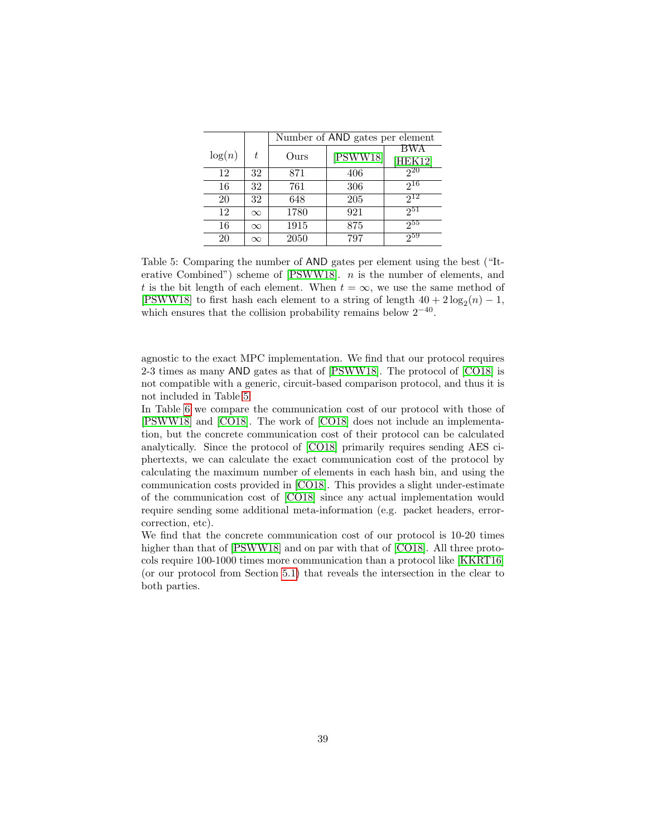<span id="page-38-0"></span>

|        |          | Number of AND gates per element |          |                 |
|--------|----------|---------------------------------|----------|-----------------|
| log(n) | t.       | Ours                            | [PSWW18] | BWA<br>[HEK12]  |
| 12     | 32       | 871                             | 406      | $2^{20}$        |
| 16     | 32       | 761                             | 306      | $2^{16}$        |
| 20     | 32       | 648                             | 205      | $2^{12}$        |
| 12     | $\infty$ | 1780                            | 921      | $2^{51}$        |
| 16     | $\infty$ | 1915                            | 875      | 2 <sub>55</sub> |
| 20     | $\infty$ | 2050                            | 797      | 259             |

Table 5: Comparing the number of AND gates per element using the best ("Iterative Combined") scheme of [\[PSWW18\]](#page-28-8). n is the number of elements, and t is the bit length of each element. When  $t = \infty$ , we use the same method of [\[PSWW18\]](#page-28-8) to first hash each element to a string of length  $40 + 2 \log_2(n) - 1$ , which ensures that the collision probability remains below  $2^{-40}$ .

agnostic to the exact MPC implementation. We find that our protocol requires 2-3 times as many AND gates as that of [\[PSWW18\]](#page-28-8). The protocol of [\[CO18\]](#page-24-3) is not compatible with a generic, circuit-based comparison protocol, and thus it is not included in Table [5.](#page-38-0)

In Table [6](#page-39-0) we compare the communication cost of our protocol with those of [\[PSWW18\]](#page-28-8) and [\[CO18\]](#page-24-3). The work of [\[CO18\]](#page-24-3) does not include an implementation, but the concrete communication cost of their protocol can be calculated analytically. Since the protocol of [\[CO18\]](#page-24-3) primarily requires sending AES ciphertexts, we can calculate the exact communication cost of the protocol by calculating the maximum number of elements in each hash bin, and using the communication costs provided in [\[CO18\]](#page-24-3). This provides a slight under-estimate of the communication cost of [\[CO18\]](#page-24-3) since any actual implementation would require sending some additional meta-information (e.g. packet headers, errorcorrection, etc).

We find that the concrete communication cost of our protocol is 10-20 times higher than that of [\[PSWW18\]](#page-28-8) and on par with that of [\[CO18\]](#page-24-3). All three protocols require 100-1000 times more communication than a protocol like [\[KKRT16\]](#page-27-0) (or our protocol from Section [5.1\)](#page-14-0) that reveals the intersection in the clear to both parties.